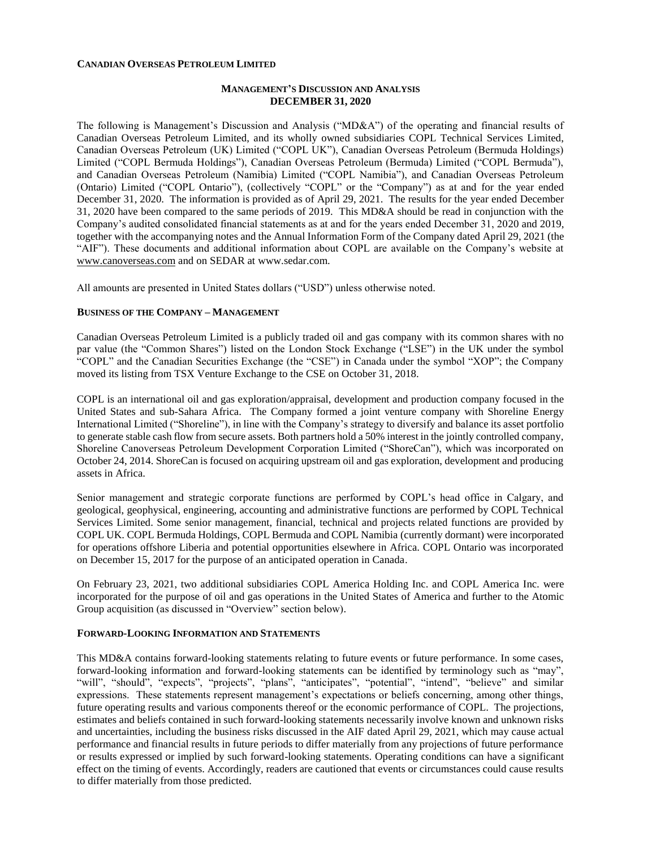### **CANADIAN OVERSEAS PETROLEUM LIMITED**

### **MANAGEMENT'S DISCUSSION AND ANALYSIS DECEMBER 31, 2020**

The following is Management's Discussion and Analysis ("MD&A") of the operating and financial results of Canadian Overseas Petroleum Limited, and its wholly owned subsidiaries COPL Technical Services Limited, Canadian Overseas Petroleum (UK) Limited ("COPL UK"), Canadian Overseas Petroleum (Bermuda Holdings) Limited ("COPL Bermuda Holdings"), Canadian Overseas Petroleum (Bermuda) Limited ("COPL Bermuda"), and Canadian Overseas Petroleum (Namibia) Limited ("COPL Namibia"), and Canadian Overseas Petroleum (Ontario) Limited ("COPL Ontario"), (collectively "COPL" or the "Company") as at and for the year ended December 31, 2020. The information is provided as of April 29, 2021. The results for the year ended December 31, 2020 have been compared to the same periods of 2019. This MD&A should be read in conjunction with the Company's audited consolidated financial statements as at and for the years ended December 31, 2020 and 2019, together with the accompanying notes and the Annual Information Form of the Company dated April 29, 2021 (the "AIF"). These documents and additional information about COPL are available on the Company's website at [www.canoverseas.com](http://www.canoverseas.com/) [a](http://www.canoverseas.com/)nd on SEDAR at [www.sedar.com.](http://www.sedar.com/)

All amounts are presented in United States dollars ("USD") unless otherwise noted.

### **BUSINESS OF THE COMPANY – MANAGEMENT**

Canadian Overseas Petroleum Limited is a publicly traded oil and gas company with its common shares with no par value (the "Common Shares") listed on the London Stock Exchange ("LSE") in the UK under the symbol "COPL" and the Canadian Securities Exchange (the "CSE") in Canada under the symbol "XOP"; the Company moved its listing from TSX Venture Exchange to the CSE on October 31, 2018.

COPL is an international oil and gas exploration/appraisal, development and production company focused in the United States and sub-Sahara Africa. The Company formed a joint venture company with Shoreline Energy International Limited ("Shoreline"), in line with the Company's strategy to diversify and balance its asset portfolio to generate stable cash flow from secure assets. Both partners hold a 50% interest in the jointly controlled company, Shoreline Canoverseas Petroleum Development Corporation Limited ("ShoreCan"), which was incorporated on October 24, 2014. ShoreCan is focused on acquiring upstream oil and gas exploration, development and producing assets in Africa.

Senior management and strategic corporate functions are performed by COPL's head office in Calgary, and geological, geophysical, engineering, accounting and administrative functions are performed by COPL Technical Services Limited. Some senior management, financial, technical and projects related functions are provided by COPL UK. COPL Bermuda Holdings, COPL Bermuda and COPL Namibia (currently dormant) were incorporated for operations offshore Liberia and potential opportunities elsewhere in Africa. COPL Ontario was incorporated on December 15, 2017 for the purpose of an anticipated operation in Canada.

On February 23, 2021, two additional subsidiaries COPL America Holding Inc. and COPL America Inc. were incorporated for the purpose of oil and gas operations in the United States of America and further to the Atomic Group acquisition (as discussed in "Overview" section below).

### **FORWARD-LOOKING INFORMATION AND STATEMENTS**

This MD&A contains forward-looking statements relating to future events or future performance. In some cases, forward-looking information and forward-looking statements can be identified by terminology such as "may", "will", "should", "expects", "projects", "plans", "anticipates", "potential", "intend", "believe" and similar expressions. These statements represent management's expectations or beliefs concerning, among other things, future operating results and various components thereof or the economic performance of COPL. The projections, estimates and beliefs contained in such forward-looking statements necessarily involve known and unknown risks and uncertainties, including the business risks discussed in the AIF dated April 29, 2021, which may cause actual performance and financial results in future periods to differ materially from any projections of future performance or results expressed or implied by such forward-looking statements. Operating conditions can have a significant effect on the timing of events. Accordingly, readers are cautioned that events or circumstances could cause results to differ materially from those predicted.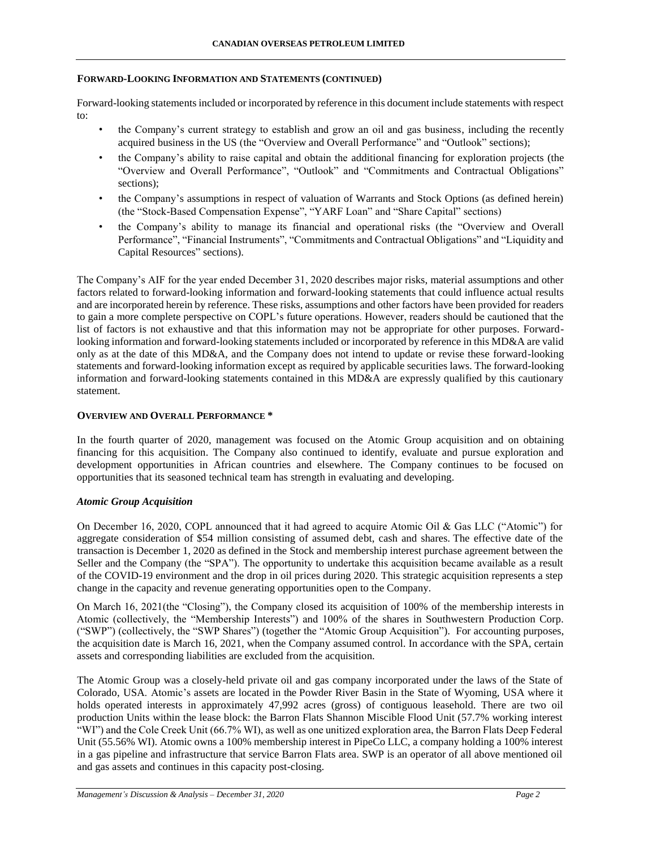### **FORWARD-LOOKING INFORMATION AND STATEMENTS (CONTINUED)**

Forward-looking statements included or incorporated by reference in this document include statements with respect to:

- the Company's current strategy to establish and grow an oil and gas business, including the recently acquired business in the US (the "Overview and Overall Performance" and "Outlook" sections);
- the Company's ability to raise capital and obtain the additional financing for exploration projects (the "Overview and Overall Performance", "Outlook" and "Commitments and Contractual Obligations" sections);
- the Company's assumptions in respect of valuation of Warrants and Stock Options (as defined herein) (the "Stock-Based Compensation Expense", "YARF Loan" and "Share Capital" sections)
- the Company's ability to manage its financial and operational risks (the "Overview and Overall Performance", "Financial Instruments", "Commitments and Contractual Obligations" and "Liquidity and Capital Resources" sections).

The Company's AIF for the year ended December 31, 2020 describes major risks, material assumptions and other factors related to forward-looking information and forward-looking statements that could influence actual results and are incorporated herein by reference. These risks, assumptions and other factors have been provided for readers to gain a more complete perspective on COPL's future operations. However, readers should be cautioned that the list of factors is not exhaustive and that this information may not be appropriate for other purposes. Forwardlooking information and forward-looking statements included or incorporated by reference in this MD&A are valid only as at the date of this MD&A, and the Company does not intend to update or revise these forward-looking statements and forward-looking information except as required by applicable securities laws. The forward-looking information and forward-looking statements contained in this MD&A are expressly qualified by this cautionary statement.

## **OVERVIEW AND OVERALL PERFORMANCE \***

In the fourth quarter of 2020, management was focused on the Atomic Group acquisition and on obtaining financing for this acquisition. The Company also continued to identify, evaluate and pursue exploration and development opportunities in African countries and elsewhere. The Company continues to be focused on opportunities that its seasoned technical team has strength in evaluating and developing.

### *Atomic Group Acquisition*

On December 16, 2020, COPL announced that it had agreed to acquire Atomic Oil & Gas LLC ("Atomic") for aggregate consideration of \$54 million consisting of assumed debt, cash and shares. The effective date of the transaction is December 1, 2020 as defined in the Stock and membership interest purchase agreement between the Seller and the Company (the "SPA"). The opportunity to undertake this acquisition became available as a result of the COVID-19 environment and the drop in oil prices during 2020. This strategic acquisition represents a step change in the capacity and revenue generating opportunities open to the Company.

On March 16, 2021(the "Closing"), the Company closed its acquisition of 100% of the membership interests in Atomic (collectively, the "Membership Interests") and 100% of the shares in Southwestern Production Corp. ("SWP") (collectively, the "SWP Shares") (together the "Atomic Group Acquisition"). For accounting purposes, the acquisition date is March 16, 2021, when the Company assumed control. In accordance with the SPA, certain assets and corresponding liabilities are excluded from the acquisition.

The Atomic Group was a closely-held private oil and gas company incorporated under the laws of the State of Colorado, USA. Atomic's assets are located in the Powder River Basin in the State of Wyoming, USA where it holds operated interests in approximately 47,992 acres (gross) of contiguous leasehold. There are two oil production Units within the lease block: the Barron Flats Shannon Miscible Flood Unit (57.7% working interest "WI") and the Cole Creek Unit (66.7% WI), as well as one unitized exploration area, the Barron Flats Deep Federal Unit (55.56% WI). Atomic owns a 100% membership interest in PipeCo LLC, a company holding a 100% interest in a gas pipeline and infrastructure that service Barron Flats area. SWP is an operator of all above mentioned oil and gas assets and continues in this capacity post-closing.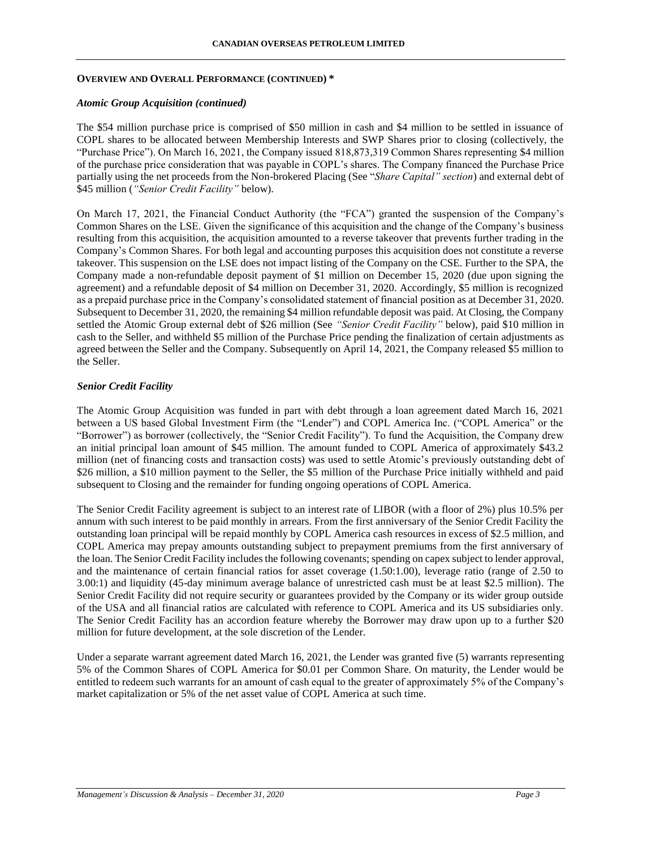### *Atomic Group Acquisition (continued)*

The \$54 million purchase price is comprised of \$50 million in cash and \$4 million to be settled in issuance of COPL shares to be allocated between Membership Interests and SWP Shares prior to closing (collectively, the "Purchase Price"). On March 16, 2021, the Company issued 818,873,319 Common Shares representing \$4 million of the purchase price consideration that was payable in COPL's shares. The Company financed the Purchase Price partially using the net proceeds from the Non-brokered Placing (See "*Share Capital" section*) and external debt of \$45 million (*"Senior Credit Facility"* below).

On March 17, 2021, the Financial Conduct Authority (the "FCA") granted the suspension of the Company's Common Shares on the LSE. Given the significance of this acquisition and the change of the Company's business resulting from this acquisition, the acquisition amounted to a reverse takeover that prevents further trading in the Company's Common Shares. For both legal and accounting purposes this acquisition does not constitute a reverse takeover. This suspension on the LSE does not impact listing of the Company on the CSE. Further to the SPA, the Company made a non-refundable deposit payment of \$1 million on December 15, 2020 (due upon signing the agreement) and a refundable deposit of \$4 million on December 31, 2020. Accordingly, \$5 million is recognized as a prepaid purchase price in the Company's consolidated statement of financial position as at December 31, 2020. Subsequent to December 31, 2020, the remaining \$4 million refundable deposit was paid. At Closing, the Company settled the Atomic Group external debt of \$26 million (See *"Senior Credit Facility"* below), paid \$10 million in cash to the Seller, and withheld \$5 million of the Purchase Price pending the finalization of certain adjustments as agreed between the Seller and the Company. Subsequently on April 14, 2021, the Company released \$5 million to the Seller.

# *Senior Credit Facility*

The Atomic Group Acquisition was funded in part with debt through a loan agreement dated March 16, 2021 between a US based Global Investment Firm (the "Lender") and COPL America Inc. ("COPL America" or the "Borrower") as borrower (collectively, the "Senior Credit Facility"). To fund the Acquisition, the Company drew an initial principal loan amount of \$45 million. The amount funded to COPL America of approximately \$43.2 million (net of financing costs and transaction costs) was used to settle Atomic's previously outstanding debt of \$26 million, a \$10 million payment to the Seller, the \$5 million of the Purchase Price initially withheld and paid subsequent to Closing and the remainder for funding ongoing operations of COPL America.

The Senior Credit Facility agreement is subject to an interest rate of LIBOR (with a floor of 2%) plus 10.5% per annum with such interest to be paid monthly in arrears. From the first anniversary of the Senior Credit Facility the outstanding loan principal will be repaid monthly by COPL America cash resources in excess of \$2.5 million, and COPL America may prepay amounts outstanding subject to prepayment premiums from the first anniversary of the loan. The Senior Credit Facility includes the following covenants; spending on capex subject to lender approval, and the maintenance of certain financial ratios for asset coverage (1.50:1.00), leverage ratio (range of 2.50 to 3.00:1) and liquidity (45-day minimum average balance of unrestricted cash must be at least \$2.5 million). The Senior Credit Facility did not require security or guarantees provided by the Company or its wider group outside of the USA and all financial ratios are calculated with reference to COPL America and its US subsidiaries only. The Senior Credit Facility has an accordion feature whereby the Borrower may draw upon up to a further \$20 million for future development, at the sole discretion of the Lender.

Under a separate warrant agreement dated March 16, 2021, the Lender was granted five (5) warrants representing 5% of the Common Shares of COPL America for \$0.01 per Common Share. On maturity, the Lender would be entitled to redeem such warrants for an amount of cash equal to the greater of approximately 5% of the Company's market capitalization or 5% of the net asset value of COPL America at such time.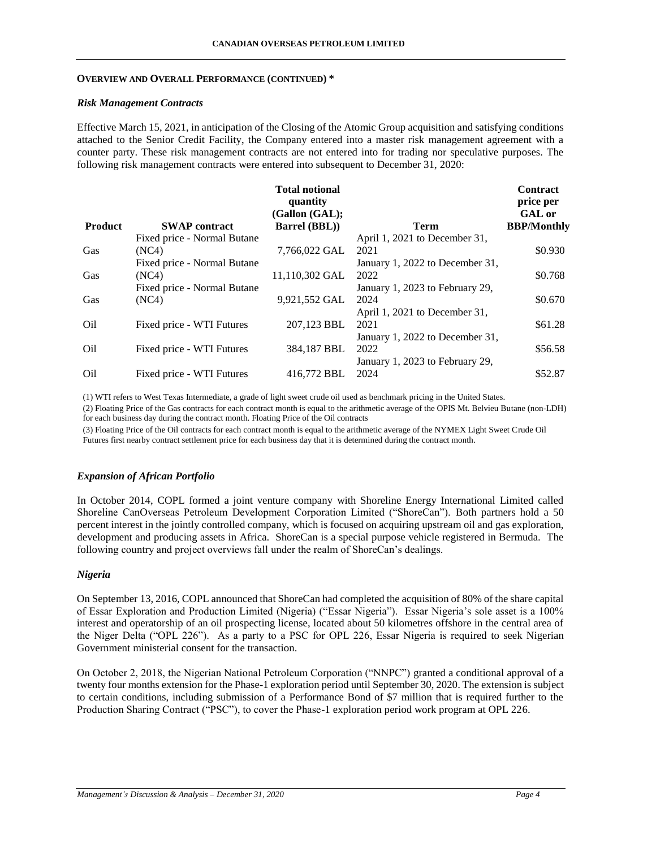### *Risk Management Contracts*

Effective March 15, 2021, in anticipation of the Closing of the Atomic Group acquisition and satisfying conditions attached to the Senior Credit Facility, the Company entered into a master risk management agreement with a counter party. These risk management contracts are not entered into for trading nor speculative purposes. The following risk management contracts were entered into subsequent to December 31, 2020:

|                 |                             | <b>Total notional</b><br>quantity<br>(Gallon (GAL); |                                 | <b>Contract</b><br>price per<br><b>GAL</b> or |
|-----------------|-----------------------------|-----------------------------------------------------|---------------------------------|-----------------------------------------------|
| <b>Product</b>  | <b>SWAP</b> contract        | <b>Barrel (BBL))</b>                                | <b>Term</b>                     | <b>BBP/Monthly</b>                            |
|                 | Fixed price - Normal Butane |                                                     | April 1, 2021 to December 31,   |                                               |
| Gas             | (NC4)                       | 7,766,022 GAL                                       | 2021                            | \$0.930                                       |
|                 | Fixed price - Normal Butane |                                                     | January 1, 2022 to December 31, |                                               |
| Gas             | (NC4)                       | 11,110,302 GAL                                      | 2022                            | \$0.768                                       |
|                 | Fixed price - Normal Butane |                                                     | January 1, 2023 to February 29, |                                               |
| Gas             | (NC4)                       | 9,921,552 GAL                                       | 2024                            | \$0.670                                       |
|                 |                             |                                                     | April 1, 2021 to December 31,   |                                               |
| O <sub>il</sub> | Fixed price - WTI Futures   | 207,123 BBL                                         | 2021                            | \$61.28                                       |
|                 |                             |                                                     | January 1, 2022 to December 31, |                                               |
| Oil             | Fixed price - WTI Futures   | 384,187 BBL                                         | 2022                            | \$56.58                                       |
|                 |                             |                                                     | January 1, 2023 to February 29, |                                               |
| Oil             | Fixed price - WTI Futures   | 416,772 BBL                                         | 2024                            | \$52.87                                       |

(1) WTI refers to West Texas Intermediate, a grade of light sweet crude oil used as benchmark pricing in the United States.

(2) Floating Price of the Gas contracts for each contract month is equal to the arithmetic average of the OPIS Mt. Belvieu Butane (non-LDH) for each business day during the contract month. Floating Price of the Oil contracts

(3) Floating Price of the Oil contracts for each contract month is equal to the arithmetic average of the NYMEX Light Sweet Crude Oil Futures first nearby contract settlement price for each business day that it is determined during the contract month.

### *Expansion of African Portfolio*

In October 2014, COPL formed a joint venture company with Shoreline Energy International Limited called Shoreline CanOverseas Petroleum Development Corporation Limited ("ShoreCan"). Both partners hold a 50 percent interest in the jointly controlled company, which is focused on acquiring upstream oil and gas exploration, development and producing assets in Africa. ShoreCan is a special purpose vehicle registered in Bermuda. The following country and project overviews fall under the realm of ShoreCan's dealings.

## *Nigeria*

On September 13, 2016, COPL announced that ShoreCan had completed the acquisition of 80% of the share capital of Essar Exploration and Production Limited (Nigeria) ("Essar Nigeria"). Essar Nigeria's sole asset is a 100% interest and operatorship of an oil prospecting license, located about 50 kilometres offshore in the central area of the Niger Delta ("OPL 226"). As a party to a PSC for OPL 226, Essar Nigeria is required to seek Nigerian Government ministerial consent for the transaction.

On October 2, 2018, the Nigerian National Petroleum Corporation ("NNPC") granted a conditional approval of a twenty four months extension for the Phase-1 exploration period until September 30, 2020. The extension is subject to certain conditions, including submission of a Performance Bond of \$7 million that is required further to the Production Sharing Contract ("PSC"), to cover the Phase-1 exploration period work program at OPL 226.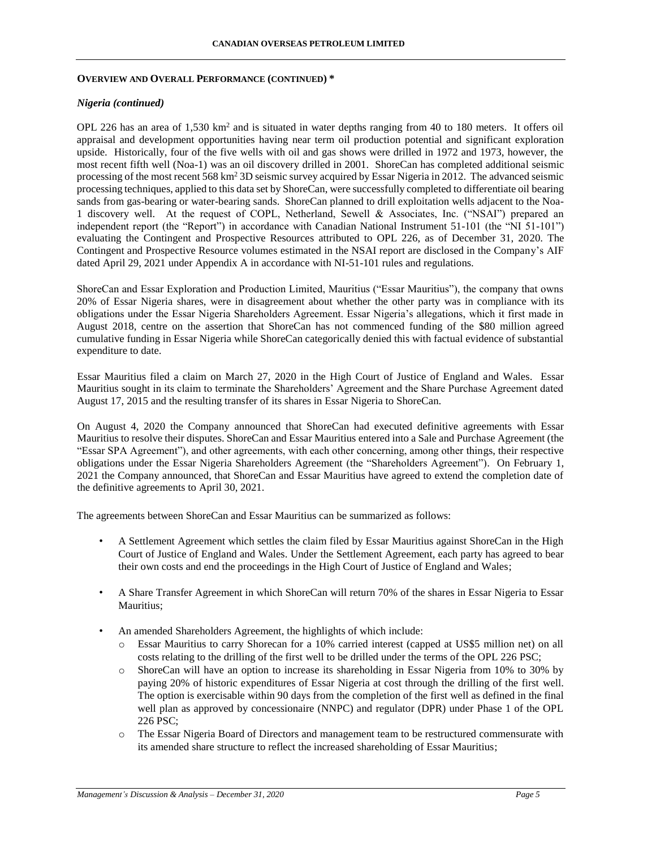## *Nigeria (continued)*

OPL 226 has an area of 1,530 km<sup>2</sup> and is situated in water depths ranging from 40 to 180 meters. It offers oil appraisal and development opportunities having near term oil production potential and significant exploration upside. Historically, four of the five wells with oil and gas shows were drilled in 1972 and 1973, however, the most recent fifth well (Noa-1) was an oil discovery drilled in 2001. ShoreCan has completed additional seismic processing of the most recent 568 km<sup>2</sup> 3D seismic survey acquired by Essar Nigeria in 2012. The advanced seismic processing techniques, applied to this data set by ShoreCan, were successfully completed to differentiate oil bearing sands from gas-bearing or water-bearing sands. ShoreCan planned to drill exploitation wells adjacent to the Noa-1 discovery well. At the request of COPL, Netherland, Sewell & Associates, Inc. ("NSAI") prepared an independent report (the "Report") in accordance with Canadian National Instrument 51-101 (the "NI 51-101") evaluating the Contingent and Prospective Resources attributed to OPL 226, as of December 31, 2020. The Contingent and Prospective Resource volumes estimated in the NSAI report are disclosed in the Company's AIF dated April 29, 2021 under Appendix A in accordance with NI-51-101 rules and regulations.

ShoreCan and Essar Exploration and Production Limited, Mauritius ("Essar Mauritius"), the company that owns 20% of Essar Nigeria shares, were in disagreement about whether the other party was in compliance with its obligations under the Essar Nigeria Shareholders Agreement. Essar Nigeria's allegations, which it first made in August 2018, centre on the assertion that ShoreCan has not commenced funding of the \$80 million agreed cumulative funding in Essar Nigeria while ShoreCan categorically denied this with factual evidence of substantial expenditure to date.

Essar Mauritius filed a claim on March 27, 2020 in the High Court of Justice of England and Wales. Essar Mauritius sought in its claim to terminate the Shareholders' Agreement and the Share Purchase Agreement dated August 17, 2015 and the resulting transfer of its shares in Essar Nigeria to ShoreCan.

On August 4, 2020 the Company announced that ShoreCan had executed definitive agreements with Essar Mauritius to resolve their disputes. ShoreCan and Essar Mauritius entered into a Sale and Purchase Agreement (the "Essar SPA Agreement"), and other agreements, with each other concerning, among other things, their respective obligations under the Essar Nigeria Shareholders Agreement (the "Shareholders Agreement"). On February 1, 2021 the Company announced, that ShoreCan and Essar Mauritius have agreed to extend the completion date of the definitive agreements to April 30, 2021.

The agreements between ShoreCan and Essar Mauritius can be summarized as follows:

- A Settlement Agreement which settles the claim filed by Essar Mauritius against ShoreCan in the High Court of Justice of England and Wales. Under the Settlement Agreement, each party has agreed to bear their own costs and end the proceedings in the High Court of Justice of England and Wales;
- A Share Transfer Agreement in which ShoreCan will return 70% of the shares in Essar Nigeria to Essar Mauritius;
- An amended Shareholders Agreement, the highlights of which include:
	- o Essar Mauritius to carry Shorecan for a 10% carried interest (capped at US\$5 million net) on all costs relating to the drilling of the first well to be drilled under the terms of the OPL 226 PSC;
	- o ShoreCan will have an option to increase its shareholding in Essar Nigeria from 10% to 30% by paying 20% of historic expenditures of Essar Nigeria at cost through the drilling of the first well. The option is exercisable within 90 days from the completion of the first well as defined in the final well plan as approved by concessionaire (NNPC) and regulator (DPR) under Phase 1 of the OPL 226 PSC;
	- o The Essar Nigeria Board of Directors and management team to be restructured commensurate with its amended share structure to reflect the increased shareholding of Essar Mauritius;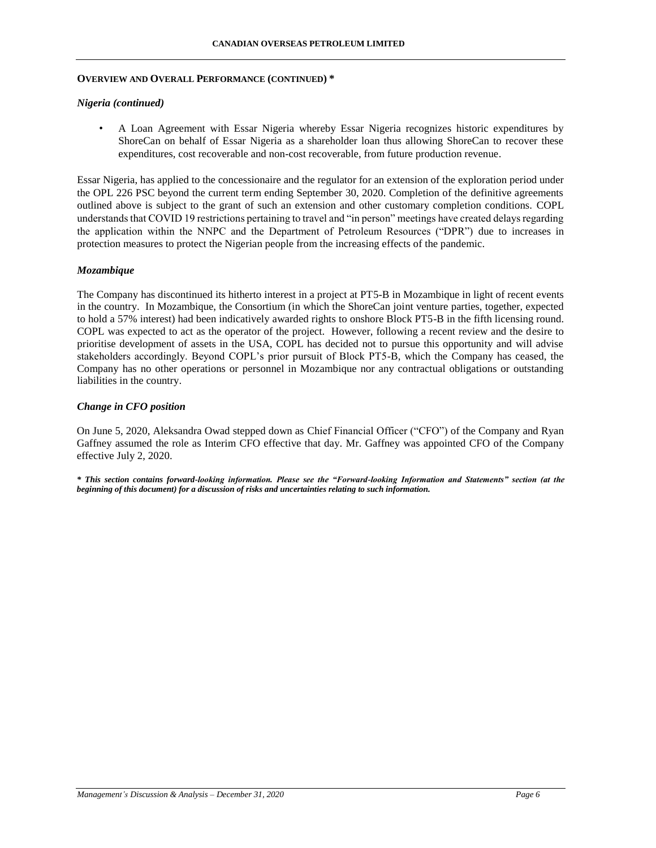### *Nigeria (continued)*

• A Loan Agreement with Essar Nigeria whereby Essar Nigeria recognizes historic expenditures by ShoreCan on behalf of Essar Nigeria as a shareholder loan thus allowing ShoreCan to recover these expenditures, cost recoverable and non-cost recoverable, from future production revenue.

Essar Nigeria, has applied to the concessionaire and the regulator for an extension of the exploration period under the OPL 226 PSC beyond the current term ending September 30, 2020. Completion of the definitive agreements outlined above is subject to the grant of such an extension and other customary completion conditions. COPL understands that COVID 19 restrictions pertaining to travel and "in person" meetings have created delays regarding the application within the NNPC and the Department of Petroleum Resources ("DPR") due to increases in protection measures to protect the Nigerian people from the increasing effects of the pandemic.

### *Mozambique*

The Company has discontinued its hitherto interest in a project at PT5-B in Mozambique in light of recent events in the country. In Mozambique, the Consortium (in which the ShoreCan joint venture parties, together, expected to hold a 57% interest) had been indicatively awarded rights to onshore Block PT5-B in the fifth licensing round. COPL was expected to act as the operator of the project. However, following a recent review and the desire to prioritise development of assets in the USA, COPL has decided not to pursue this opportunity and will advise stakeholders accordingly. Beyond COPL's prior pursuit of Block PT5-B, which the Company has ceased, the Company has no other operations or personnel in Mozambique nor any contractual obligations or outstanding liabilities in the country.

### *Change in CFO position*

On June 5, 2020, Aleksandra Owad stepped down as Chief Financial Officer ("CFO") of the Company and Ryan Gaffney assumed the role as Interim CFO effective that day. Mr. Gaffney was appointed CFO of the Company effective July 2, 2020.

*\* This section contains forward-looking information. Please see the "Forward-looking Information and Statements" section (at the beginning of this document) for a discussion of risks and uncertainties relating to such information.*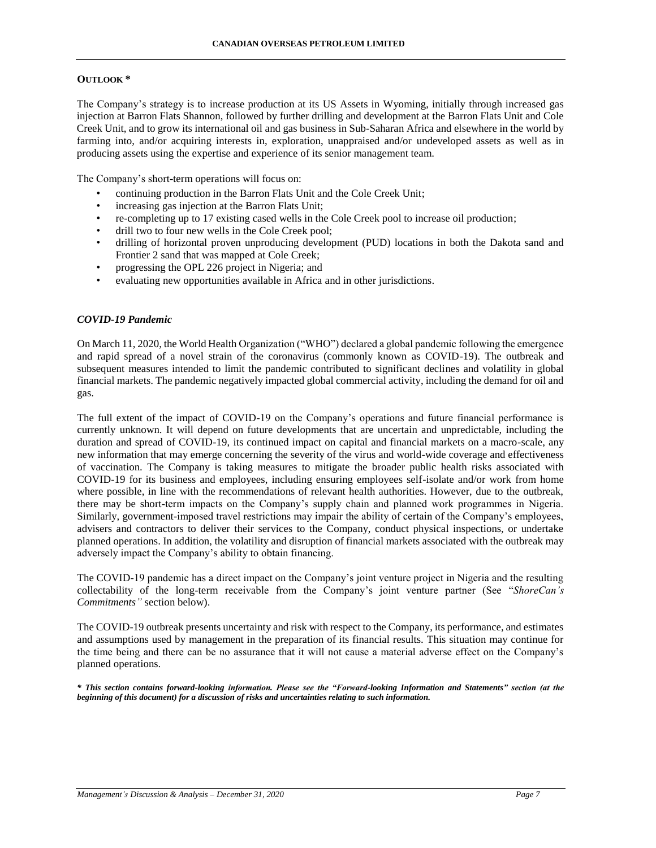## **OUTLOOK \***

The Company's strategy is to increase production at its US Assets in Wyoming, initially through increased gas injection at Barron Flats Shannon, followed by further drilling and development at the Barron Flats Unit and Cole Creek Unit, and to grow its international oil and gas business in Sub-Saharan Africa and elsewhere in the world by farming into, and/or acquiring interests in, exploration, unappraised and/or undeveloped assets as well as in producing assets using the expertise and experience of its senior management team.

The Company's short-term operations will focus on:

- continuing production in the Barron Flats Unit and the Cole Creek Unit;
- increasing gas injection at the Barron Flats Unit;
- re-completing up to 17 existing cased wells in the Cole Creek pool to increase oil production;
- drill two to four new wells in the Cole Creek pool;
- drilling of horizontal proven unproducing development (PUD) locations in both the Dakota sand and Frontier 2 sand that was mapped at Cole Creek;
- progressing the OPL 226 project in Nigeria; and
- evaluating new opportunities available in Africa and in other jurisdictions.

## *COVID-19 Pandemic*

On March 11, 2020, the World Health Organization ("WHO") declared a global pandemic following the emergence and rapid spread of a novel strain of the coronavirus (commonly known as COVID-19). The outbreak and subsequent measures intended to limit the pandemic contributed to significant declines and volatility in global financial markets. The pandemic negatively impacted global commercial activity, including the demand for oil and gas.

The full extent of the impact of COVID-19 on the Company's operations and future financial performance is currently unknown. It will depend on future developments that are uncertain and unpredictable, including the duration and spread of COVID-19, its continued impact on capital and financial markets on a macro-scale, any new information that may emerge concerning the severity of the virus and world-wide coverage and effectiveness of vaccination. The Company is taking measures to mitigate the broader public health risks associated with COVID-19 for its business and employees, including ensuring employees self-isolate and/or work from home where possible, in line with the recommendations of relevant health authorities. However, due to the outbreak, there may be short-term impacts on the Company's supply chain and planned work programmes in Nigeria. Similarly, government-imposed travel restrictions may impair the ability of certain of the Company's employees, advisers and contractors to deliver their services to the Company, conduct physical inspections, or undertake planned operations. In addition, the volatility and disruption of financial markets associated with the outbreak may adversely impact the Company's ability to obtain financing.

The COVID-19 pandemic has a direct impact on the Company's joint venture project in Nigeria and the resulting collectability of the long-term receivable from the Company's joint venture partner (See "*ShoreCan's Commitments"* section below).

The COVID-19 outbreak presents uncertainty and risk with respect to the Company, its performance, and estimates and assumptions used by management in the preparation of its financial results. This situation may continue for the time being and there can be no assurance that it will not cause a material adverse effect on the Company's planned operations.

*\* This section contains forward-looking information. Please see the "Forward-looking Information and Statements" section (at the beginning of this document) for a discussion of risks and uncertainties relating to such information.*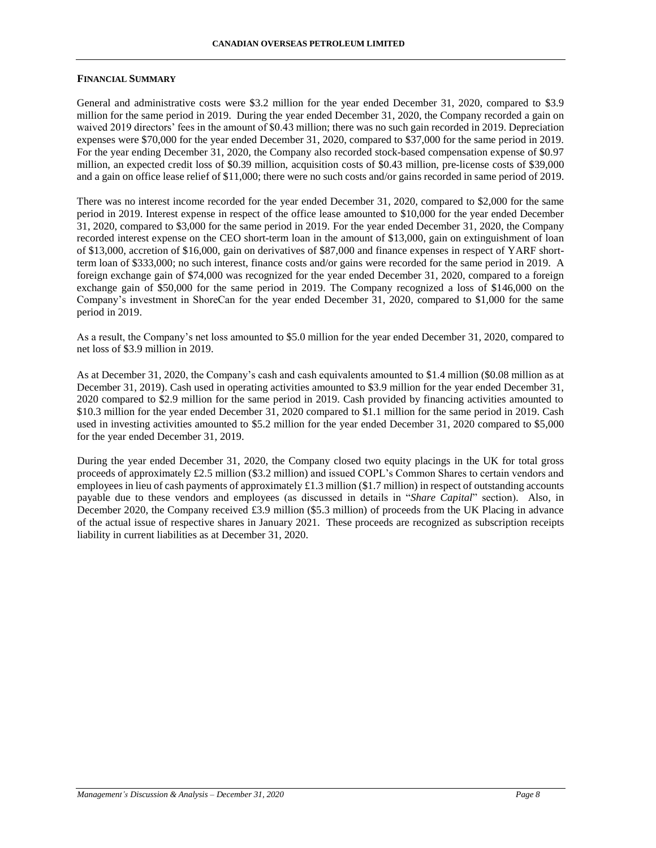### **FINANCIAL SUMMARY**

General and administrative costs were \$3.2 million for the year ended December 31, 2020, compared to \$3.9 million for the same period in 2019. During the year ended December 31, 2020, the Company recorded a gain on waived 2019 directors' fees in the amount of \$0.43 million; there was no such gain recorded in 2019. Depreciation expenses were \$70,000 for the year ended December 31, 2020, compared to \$37,000 for the same period in 2019. For the year ending December 31, 2020, the Company also recorded stock-based compensation expense of \$0.97 million, an expected credit loss of \$0.39 million, acquisition costs of \$0.43 million, pre-license costs of \$39,000 and a gain on office lease relief of \$11,000; there were no such costs and/or gains recorded in same period of 2019.

There was no interest income recorded for the year ended December 31, 2020, compared to \$2,000 for the same period in 2019. Interest expense in respect of the office lease amounted to \$10,000 for the year ended December 31, 2020, compared to \$3,000 for the same period in 2019. For the year ended December 31, 2020, the Company recorded interest expense on the CEO short-term loan in the amount of \$13,000, gain on extinguishment of loan of \$13,000, accretion of \$16,000, gain on derivatives of \$87,000 and finance expenses in respect of YARF shortterm loan of \$333,000; no such interest, finance costs and/or gains were recorded for the same period in 2019. A foreign exchange gain of \$74,000 was recognized for the year ended December 31, 2020, compared to a foreign exchange gain of \$50,000 for the same period in 2019. The Company recognized a loss of \$146,000 on the Company's investment in ShoreCan for the year ended December 31, 2020, compared to \$1,000 for the same period in 2019.

As a result, the Company's net loss amounted to \$5.0 million for the year ended December 31, 2020, compared to net loss of \$3.9 million in 2019.

As at December 31, 2020, the Company's cash and cash equivalents amounted to \$1.4 million (\$0.08 million as at December 31, 2019). Cash used in operating activities amounted to \$3.9 million for the year ended December 31, 2020 compared to \$2.9 million for the same period in 2019. Cash provided by financing activities amounted to \$10.3 million for the year ended December 31, 2020 compared to \$1.1 million for the same period in 2019. Cash used in investing activities amounted to \$5.2 million for the year ended December 31, 2020 compared to \$5,000 for the year ended December 31, 2019.

During the year ended December 31, 2020, the Company closed two equity placings in the UK for total gross proceeds of approximately £2.5 million (\$3.2 million) and issued COPL's Common Shares to certain vendors and employees in lieu of cash payments of approximately  $\pounds$ 1.3 million (\$1.7 million) in respect of outstanding accounts payable due to these vendors and employees (as discussed in details in "*Share Capital*" section). Also, in December 2020, the Company received £3.9 million (\$5.3 million) of proceeds from the UK Placing in advance of the actual issue of respective shares in January 2021. These proceeds are recognized as subscription receipts liability in current liabilities as at December 31, 2020.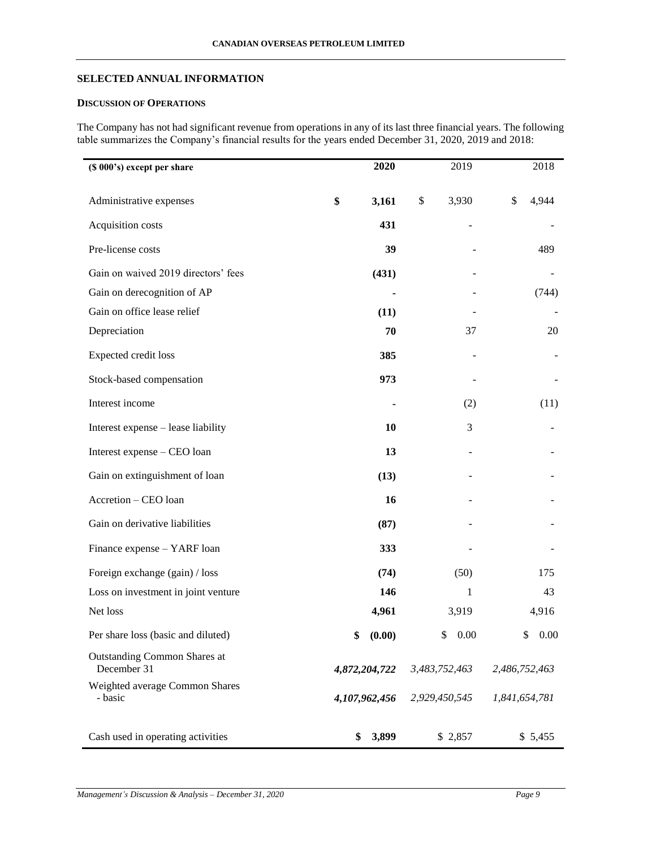# **SELECTED ANNUAL INFORMATION**

# **DISCUSSION OF OPERATIONS**

The Company has not had significant revenue from operations in any of its last three financial years. The following table summarizes the Company's financial results for the years ended December 31, 2020, 2019 and 2018:

| (\$ 000's) except per share                        | 2020          | 2019          |               | 2018       |
|----------------------------------------------------|---------------|---------------|---------------|------------|
| Administrative expenses                            | \$<br>3,161   | \$<br>3,930   | \$            | 4,944      |
| Acquisition costs                                  | 431           |               |               |            |
| Pre-license costs                                  | 39            |               |               | 489        |
| Gain on waived 2019 directors' fees                | (431)         |               |               |            |
| Gain on derecognition of AP                        |               |               |               | (744)      |
| Gain on office lease relief                        | (11)          |               |               |            |
| Depreciation                                       | 70            | 37            |               | 20         |
| Expected credit loss                               | 385           |               |               |            |
| Stock-based compensation                           | 973           |               |               |            |
| Interest income                                    |               | (2)           |               | (11)       |
| Interest expense - lease liability                 | 10            | 3             |               |            |
| Interest expense - CEO loan                        | 13            |               |               |            |
| Gain on extinguishment of loan                     | (13)          |               |               |            |
| Accretion - CEO loan                               | 16            |               |               |            |
| Gain on derivative liabilities                     | (87)          |               |               |            |
| Finance expense - YARF loan                        | 333           |               |               |            |
| Foreign exchange (gain) / loss                     | (74)          | (50)          |               | 175        |
| Loss on investment in joint venture                | 146           | 1             |               | 43         |
| Net loss                                           | 4,961         | 3,919         |               | 4,916      |
| Per share loss (basic and diluted)                 | \$<br>(0.00)  | 0.00<br>\$    |               | 0.00<br>\$ |
| <b>Outstanding Common Shares at</b><br>December 31 | 4,872,204,722 | 3,483,752,463 | 2,486,752,463 |            |
| Weighted average Common Shares<br>- basic          | 4,107,962,456 | 2,929,450,545 | 1,841,654,781 |            |
| Cash used in operating activities                  | 3,899<br>\$   | \$2,857       |               | \$5,455    |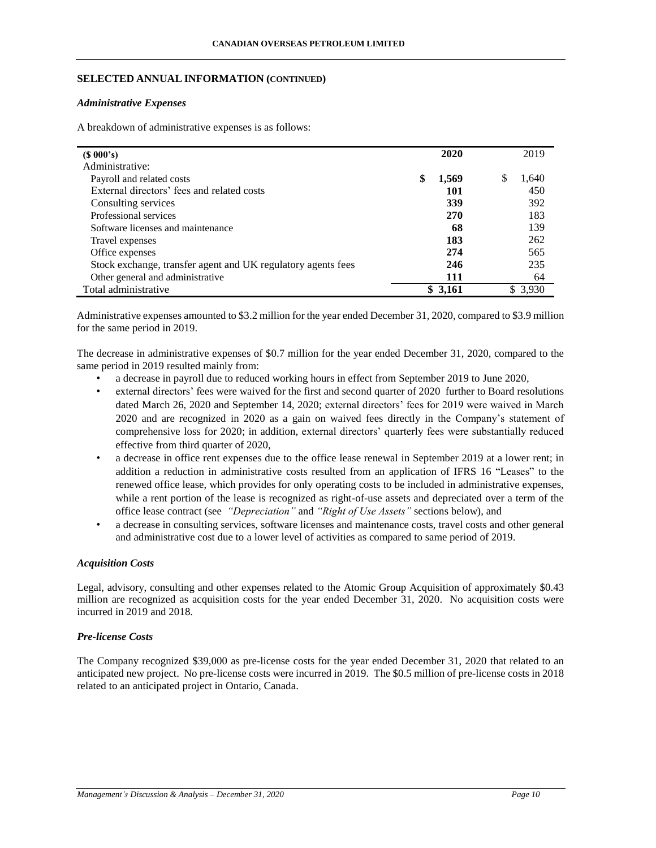## **SELECTED ANNUAL INFORMATION (CONTINUED)**

### *Administrative Expenses*

A breakdown of administrative expenses is as follows:

| $(S\ 000's)$                                                 | 2020        | 2019       |
|--------------------------------------------------------------|-------------|------------|
| Administrative:                                              |             |            |
| Payroll and related costs                                    | \$<br>1,569 | S<br>1,640 |
| External directors' fees and related costs                   | 101         | 450        |
| Consulting services                                          | 339         | 392        |
| Professional services                                        | 270         | 183        |
| Software licenses and maintenance                            | 68          | 139        |
| Travel expenses                                              | 183         | 262        |
| Office expenses                                              | 274         | 565        |
| Stock exchange, transfer agent and UK regulatory agents fees | 246         | 235        |
| Other general and administrative                             | 111         | 64         |
| Total administrative                                         | \$3,161     | \$3,930    |

Administrative expenses amounted to \$3.2 million for the year ended December 31, 2020, compared to \$3.9 million for the same period in 2019.

The decrease in administrative expenses of \$0.7 million for the year ended December 31, 2020, compared to the same period in 2019 resulted mainly from:

- a decrease in payroll due to reduced working hours in effect from September 2019 to June 2020,
- external directors' fees were waived for the first and second quarter of 2020 further to Board resolutions dated March 26, 2020 and September 14, 2020; external directors' fees for 2019 were waived in March 2020 and are recognized in 2020 as a gain on waived fees directly in the Company's statement of comprehensive loss for 2020; in addition, external directors' quarterly fees were substantially reduced effective from third quarter of 2020,
- a decrease in office rent expenses due to the office lease renewal in September 2019 at a lower rent; in addition a reduction in administrative costs resulted from an application of IFRS 16 "Leases" to the renewed office lease, which provides for only operating costs to be included in administrative expenses, while a rent portion of the lease is recognized as right-of-use assets and depreciated over a term of the office lease contract (see *"Depreciation"* and *"Right of Use Assets"* sections below), and
- a decrease in consulting services, software licenses and maintenance costs, travel costs and other general and administrative cost due to a lower level of activities as compared to same period of 2019.

### *Acquisition Costs*

Legal, advisory, consulting and other expenses related to the Atomic Group Acquisition of approximately \$0.43 million are recognized as acquisition costs for the year ended December 31, 2020. No acquisition costs were incurred in 2019 and 2018.

# *Pre-license Costs*

The Company recognized \$39,000 as pre-license costs for the year ended December 31, 2020 that related to an anticipated new project. No pre-license costs were incurred in 2019. The \$0.5 million of pre-license costs in 2018 related to an anticipated project in Ontario, Canada.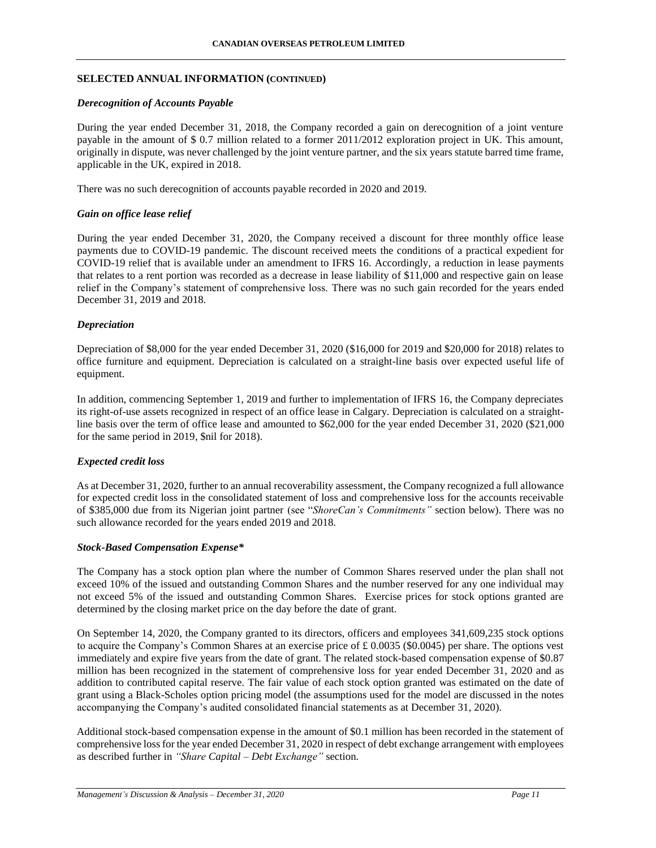## **SELECTED ANNUAL INFORMATION (CONTINUED)**

### *Derecognition of Accounts Payable*

During the year ended December 31, 2018, the Company recorded a gain on derecognition of a joint venture payable in the amount of \$ 0.7 million related to a former 2011/2012 exploration project in UK. This amount, originally in dispute, was never challenged by the joint venture partner, and the six years statute barred time frame, applicable in the UK, expired in 2018.

There was no such derecognition of accounts payable recorded in 2020 and 2019.

## *Gain on office lease relief*

During the year ended December 31, 2020, the Company received a discount for three monthly office lease payments due to COVID-19 pandemic. The discount received meets the conditions of a practical expedient for COVID-19 relief that is available under an amendment to IFRS 16. Accordingly, a reduction in lease payments that relates to a rent portion was recorded as a decrease in lease liability of \$11,000 and respective gain on lease relief in the Company's statement of comprehensive loss. There was no such gain recorded for the years ended December 31, 2019 and 2018.

### *Depreciation*

Depreciation of \$8,000 for the year ended December 31, 2020 (\$16,000 for 2019 and \$20,000 for 2018) relates to office furniture and equipment. Depreciation is calculated on a straight-line basis over expected useful life of equipment.

In addition, commencing September 1, 2019 and further to implementation of IFRS 16, the Company depreciates its right-of-use assets recognized in respect of an office lease in Calgary. Depreciation is calculated on a straightline basis over the term of office lease and amounted to \$62,000 for the year ended December 31, 2020 (\$21,000 for the same period in 2019, \$nil for 2018).

### *Expected credit loss*

As at December 31, 2020, further to an annual recoverability assessment, the Company recognized a full allowance for expected credit loss in the consolidated statement of loss and comprehensive loss for the accounts receivable of \$385,000 due from its Nigerian joint partner (see "*ShoreCan's Commitments"* section below). There was no such allowance recorded for the years ended 2019 and 2018.

### *Stock-Based Compensation Expense\**

The Company has a stock option plan where the number of Common Shares reserved under the plan shall not exceed 10% of the issued and outstanding Common Shares and the number reserved for any one individual may not exceed 5% of the issued and outstanding Common Shares. Exercise prices for stock options granted are determined by the closing market price on the day before the date of grant.

On September 14, 2020, the Company granted to its directors, officers and employees 341,609,235 stock options to acquire the Company's Common Shares at an exercise price of £ 0.0035 (\$0.0045) per share. The options vest immediately and expire five years from the date of grant. The related stock-based compensation expense of \$0.87 million has been recognized in the statement of comprehensive loss for year ended December 31, 2020 and as addition to contributed capital reserve. The fair value of each stock option granted was estimated on the date of grant using a Black-Scholes option pricing model (the assumptions used for the model are discussed in the notes accompanying the Company's audited consolidated financial statements as at December 31, 2020).

Additional stock-based compensation expense in the amount of \$0.1 million has been recorded in the statement of comprehensive loss for the year ended December 31, 2020 in respect of debt exchange arrangement with employees as described further in *"Share Capital – Debt Exchange"* section.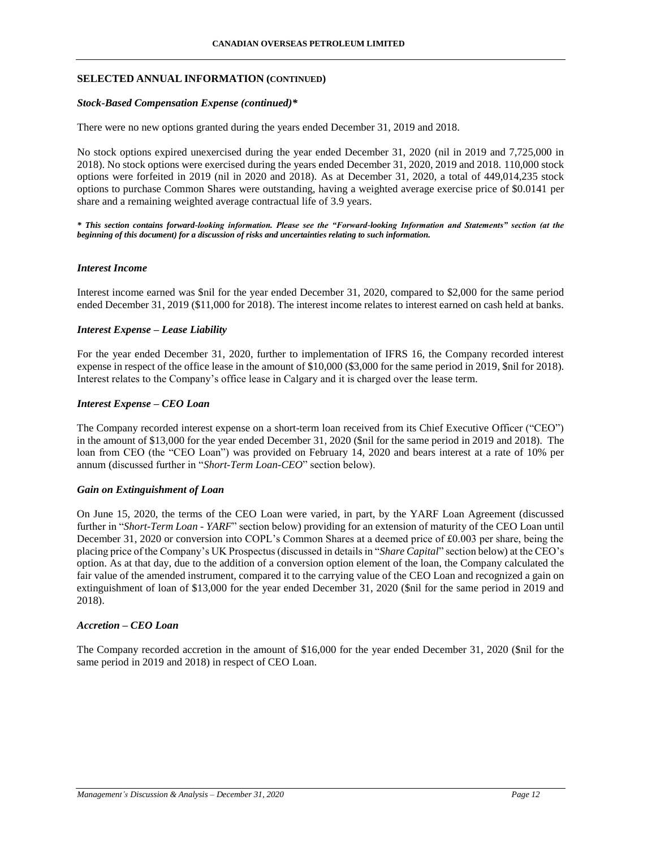## **SELECTED ANNUAL INFORMATION (CONTINUED)**

### *Stock-Based Compensation Expense (continued)\**

There were no new options granted during the years ended December 31, 2019 and 2018.

No stock options expired unexercised during the year ended December 31, 2020 (nil in 2019 and 7,725,000 in 2018). No stock options were exercised during the years ended December 31, 2020, 2019 and 2018. 110,000 stock options were forfeited in 2019 (nil in 2020 and 2018). As at December 31, 2020, a total of 449,014,235 stock options to purchase Common Shares were outstanding, having a weighted average exercise price of \$0.0141 per share and a remaining weighted average contractual life of 3.9 years.

*\* This section contains forward-looking information. Please see the "Forward-looking Information and Statements" section (at the beginning of this document) for a discussion of risks and uncertainties relating to such information.*

### *Interest Income*

Interest income earned was \$nil for the year ended December 31, 2020, compared to \$2,000 for the same period ended December 31, 2019 (\$11,000 for 2018). The interest income relates to interest earned on cash held at banks.

## *Interest Expense – Lease Liability*

For the year ended December 31, 2020, further to implementation of IFRS 16, the Company recorded interest expense in respect of the office lease in the amount of \$10,000 (\$3,000 for the same period in 2019, \$nil for 2018). Interest relates to the Company's office lease in Calgary and it is charged over the lease term.

## *Interest Expense – CEO Loan*

The Company recorded interest expense on a short-term loan received from its Chief Executive Officer ("CEO") in the amount of \$13,000 for the year ended December 31, 2020 (\$nil for the same period in 2019 and 2018). The loan from CEO (the "CEO Loan") was provided on February 14, 2020 and bears interest at a rate of 10% per annum (discussed further in "*Short-Term Loan-CEO*" section below).

### *Gain on Extinguishment of Loan*

On June 15, 2020, the terms of the CEO Loan were varied, in part, by the YARF Loan Agreement (discussed further in "*Short-Term Loan - YARF*" section below) providing for an extension of maturity of the CEO Loan until December 31, 2020 or conversion into COPL's Common Shares at a deemed price of £0.003 per share, being the placing price of the Company's UK Prospectus (discussed in details in "*Share Capital*" section below) at the CEO's option. As at that day, due to the addition of a conversion option element of the loan, the Company calculated the fair value of the amended instrument, compared it to the carrying value of the CEO Loan and recognized a gain on extinguishment of loan of \$13,000 for the year ended December 31, 2020 (\$nil for the same period in 2019 and 2018).

## *Accretion – CEO Loan*

The Company recorded accretion in the amount of \$16,000 for the year ended December 31, 2020 (\$nil for the same period in 2019 and 2018) in respect of CEO Loan.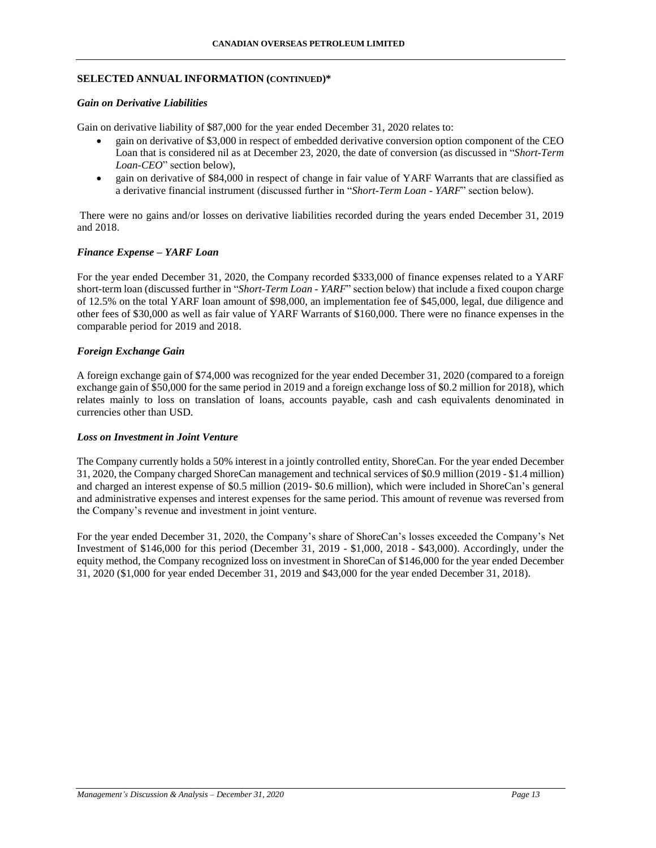## **SELECTED ANNUAL INFORMATION (CONTINUED)\***

### *Gain on Derivative Liabilities*

Gain on derivative liability of \$87,000 for the year ended December 31, 2020 relates to:

- gain on derivative of \$3,000 in respect of embedded derivative conversion option component of the CEO Loan that is considered nil as at December 23, 2020, the date of conversion (as discussed in "*Short-Term Loan-CEO*" section below),
- gain on derivative of \$84,000 in respect of change in fair value of YARF Warrants that are classified as a derivative financial instrument (discussed further in "*Short-Term Loan - YARF*" section below).

There were no gains and/or losses on derivative liabilities recorded during the years ended December 31, 2019 and 2018.

## *Finance Expense – YARF Loan*

For the year ended December 31, 2020, the Company recorded \$333,000 of finance expenses related to a YARF short-term loan (discussed further in "*Short-Term Loan - YARF*" section below) that include a fixed coupon charge of 12.5% on the total YARF loan amount of \$98,000, an implementation fee of \$45,000, legal, due diligence and other fees of \$30,000 as well as fair value of YARF Warrants of \$160,000. There were no finance expenses in the comparable period for 2019 and 2018.

## *Foreign Exchange Gain*

A foreign exchange gain of \$74,000 was recognized for the year ended December 31, 2020 (compared to a foreign exchange gain of \$50,000 for the same period in 2019 and a foreign exchange loss of \$0.2 million for 2018), which relates mainly to loss on translation of loans, accounts payable, cash and cash equivalents denominated in currencies other than USD.

### *Loss on Investment in Joint Venture*

The Company currently holds a 50% interest in a jointly controlled entity, ShoreCan. For the year ended December 31, 2020, the Company charged ShoreCan management and technical services of \$0.9 million (2019 - \$1.4 million) and charged an interest expense of \$0.5 million (2019- \$0.6 million), which were included in ShoreCan's general and administrative expenses and interest expenses for the same period. This amount of revenue was reversed from the Company's revenue and investment in joint venture.

For the year ended December 31, 2020, the Company's share of ShoreCan's losses exceeded the Company's Net Investment of \$146,000 for this period (December 31, 2019 - \$1,000, 2018 - \$43,000). Accordingly, under the equity method, the Company recognized loss on investment in ShoreCan of \$146,000 for the year ended December 31, 2020 (\$1,000 for year ended December 31, 2019 and \$43,000 for the year ended December 31, 2018).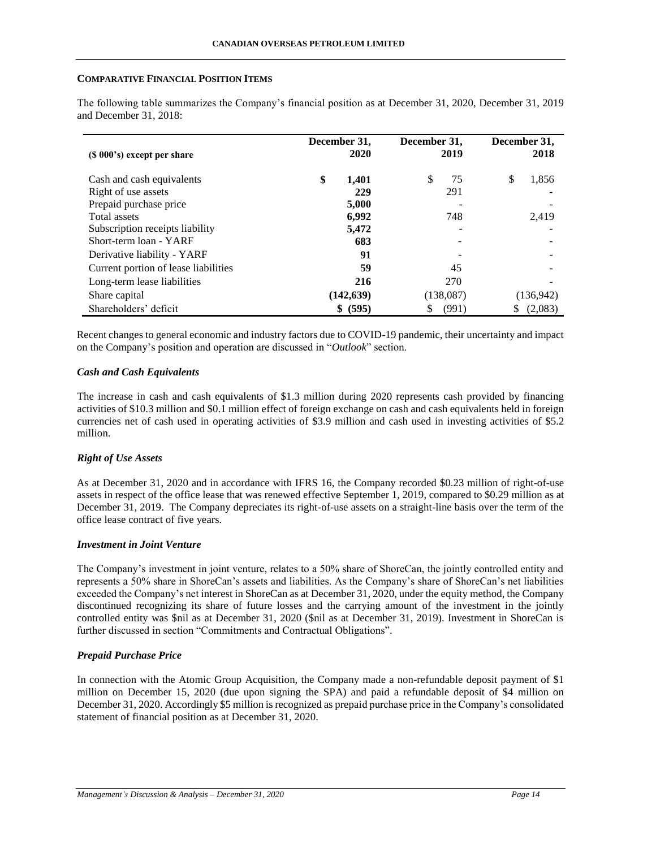### **COMPARATIVE FINANCIAL POSITION ITEMS**

| $(S 000's)$ except per share         | December 31,<br>2020 | December 31,<br>2019 | December 31,<br>2018 |
|--------------------------------------|----------------------|----------------------|----------------------|
| Cash and cash equivalents            | \$<br>1,401          | \$.<br>75            | \$<br>1,856          |
| Right of use assets                  | 229                  | 291                  |                      |
| Prepaid purchase price               | 5,000                |                      |                      |
| Total assets                         | 6,992                | 748                  | 2.419                |
| Subscription receipts liability      | 5,472                |                      |                      |
| Short-term loan - YARF               | 683                  |                      |                      |
| Derivative liability - YARF          | 91                   |                      |                      |
| Current portion of lease liabilities | 59                   | 45                   |                      |
| Long-term lease liabilities          | 216                  | 270                  |                      |
| Share capital                        | (142, 639)           | (138,087)            | (136, 942)           |
| Shareholders' deficit                | \$ (595)             | (991)<br>S           | (2,083)<br>S         |

The following table summarizes the Company's financial position as at December 31, 2020, December 31, 2019 and December 31, 2018:

Recent changes to general economic and industry factors due to COVID-19 pandemic, their uncertainty and impact on the Company's position and operation are discussed in "*Outlook*" section.

# *Cash and Cash Equivalents*

The increase in cash and cash equivalents of \$1.3 million during 2020 represents cash provided by financing activities of \$10.3 million and \$0.1 million effect of foreign exchange on cash and cash equivalents held in foreign currencies net of cash used in operating activities of \$3.9 million and cash used in investing activities of \$5.2 million.

# *Right of Use Assets*

As at December 31, 2020 and in accordance with IFRS 16, the Company recorded \$0.23 million of right-of-use assets in respect of the office lease that was renewed effective September 1, 2019, compared to \$0.29 million as at December 31, 2019. The Company depreciates its right-of-use assets on a straight-line basis over the term of the office lease contract of five years.

# *Investment in Joint Venture*

The Company's investment in joint venture, relates to a 50% share of ShoreCan, the jointly controlled entity and represents a 50% share in ShoreCan's assets and liabilities. As the Company's share of ShoreCan's net liabilities exceeded the Company's net interest in ShoreCan as at December 31, 2020, under the equity method, the Company discontinued recognizing its share of future losses and the carrying amount of the investment in the jointly controlled entity was \$nil as at December 31, 2020 (\$nil as at December 31, 2019). Investment in ShoreCan is further discussed in section "Commitments and Contractual Obligations".

# *Prepaid Purchase Price*

In connection with the Atomic Group Acquisition, the Company made a non-refundable deposit payment of \$1 million on December 15, 2020 (due upon signing the SPA) and paid a refundable deposit of \$4 million on December 31, 2020. Accordingly \$5 million is recognized as prepaid purchase price in the Company's consolidated statement of financial position as at December 31, 2020.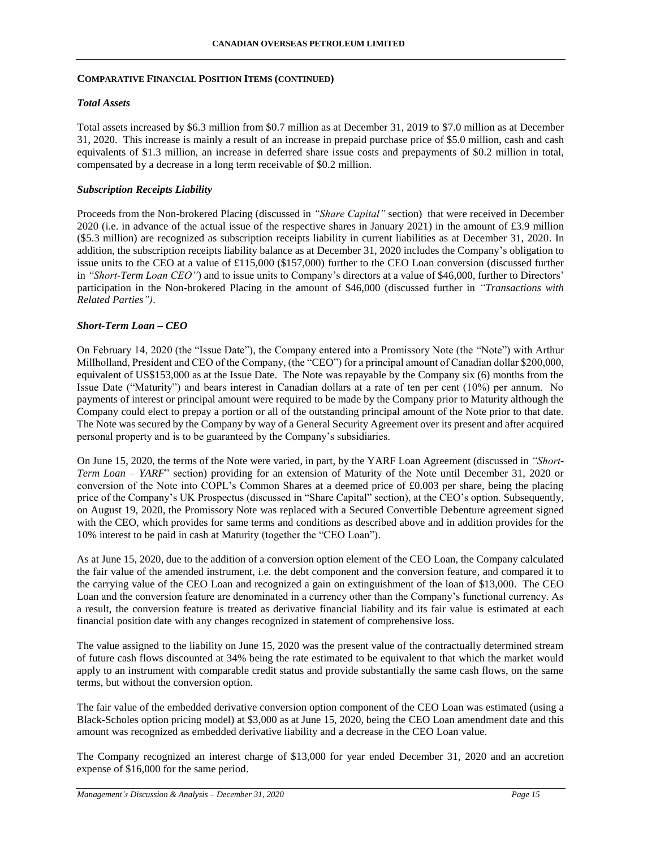# *Total Assets*

Total assets increased by \$6.3 million from \$0.7 million as at December 31, 2019 to \$7.0 million as at December 31, 2020. This increase is mainly a result of an increase in prepaid purchase price of \$5.0 million, cash and cash equivalents of \$1.3 million, an increase in deferred share issue costs and prepayments of \$0.2 million in total, compensated by a decrease in a long term receivable of \$0.2 million.

## *Subscription Receipts Liability*

Proceeds from the Non-brokered Placing (discussed in *"Share Capital"* section) that were received in December 2020 (i.e. in advance of the actual issue of the respective shares in January 2021) in the amount of £3.9 million (\$5.3 million) are recognized as subscription receipts liability in current liabilities as at December 31, 2020. In addition, the subscription receipts liability balance as at December 31, 2020 includes the Company's obligation to issue units to the CEO at a value of £115,000 (\$157,000) further to the CEO Loan conversion (discussed further in *"Short-Term Loan CEO"*) and to issue units to Company's directors at a value of \$46,000, further to Directors' participation in the Non-brokered Placing in the amount of \$46,000 (discussed further in *"Transactions with Related Parties")*.

## *Short-Term Loan – CEO*

On February 14, 2020 (the "Issue Date"), the Company entered into a Promissory Note (the "Note") with Arthur Millholland, President and CEO of the Company, (the "CEO") for a principal amount of Canadian dollar \$200,000, equivalent of US\$153,000 as at the Issue Date. The Note was repayable by the Company six (6) months from the Issue Date ("Maturity") and bears interest in Canadian dollars at a rate of ten per cent (10%) per annum. No payments of interest or principal amount were required to be made by the Company prior to Maturity although the Company could elect to prepay a portion or all of the outstanding principal amount of the Note prior to that date. The Note was secured by the Company by way of a General Security Agreement over its present and after acquired personal property and is to be guaranteed by the Company's subsidiaries.

On June 15, 2020, the terms of the Note were varied, in part, by the YARF Loan Agreement (discussed in *"Short-Term Loan – YARF*" section) providing for an extension of Maturity of the Note until December 31, 2020 or conversion of the Note into COPL's Common Shares at a deemed price of £0.003 per share, being the placing price of the Company's UK Prospectus (discussed in "Share Capital" section), at the CEO's option. Subsequently, on August 19, 2020, the Promissory Note was replaced with a Secured Convertible Debenture agreement signed with the CEO, which provides for same terms and conditions as described above and in addition provides for the 10% interest to be paid in cash at Maturity (together the "CEO Loan").

As at June 15, 2020, due to the addition of a conversion option element of the CEO Loan, the Company calculated the fair value of the amended instrument, i.e. the debt component and the conversion feature, and compared it to the carrying value of the CEO Loan and recognized a gain on extinguishment of the loan of \$13,000. The CEO Loan and the conversion feature are denominated in a currency other than the Company's functional currency. As a result, the conversion feature is treated as derivative financial liability and its fair value is estimated at each financial position date with any changes recognized in statement of comprehensive loss.

The value assigned to the liability on June 15, 2020 was the present value of the contractually determined stream of future cash flows discounted at 34% being the rate estimated to be equivalent to that which the market would apply to an instrument with comparable credit status and provide substantially the same cash flows, on the same terms, but without the conversion option.

The fair value of the embedded derivative conversion option component of the CEO Loan was estimated (using a Black-Scholes option pricing model) at \$3,000 as at June 15, 2020, being the CEO Loan amendment date and this amount was recognized as embedded derivative liability and a decrease in the CEO Loan value.

The Company recognized an interest charge of \$13,000 for year ended December 31, 2020 and an accretion expense of \$16,000 for the same period.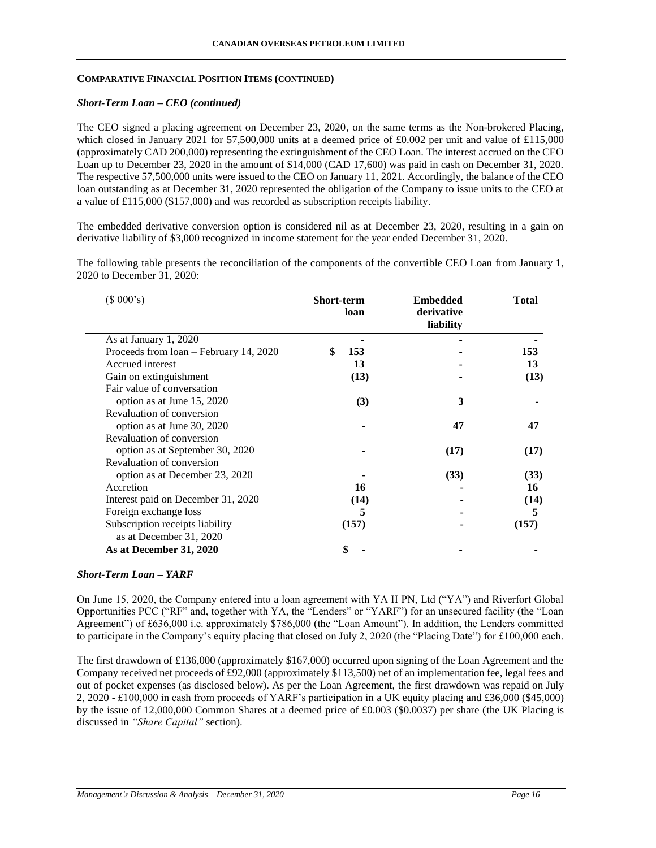### *Short-Term Loan – CEO (continued)*

The CEO signed a placing agreement on December 23, 2020, on the same terms as the Non-brokered Placing, which closed in January 2021 for 57,500,000 units at a deemed price of £0.002 per unit and value of £115,000 (approximately CAD 200,000) representing the extinguishment of the CEO Loan. The interest accrued on the CEO Loan up to December 23, 2020 in the amount of \$14,000 (CAD 17,600) was paid in cash on December 31, 2020. The respective 57,500,000 units were issued to the CEO on January 11, 2021. Accordingly, the balance of the CEO loan outstanding as at December 31, 2020 represented the obligation of the Company to issue units to the CEO at a value of £115,000 (\$157,000) and was recorded as subscription receipts liability.

The embedded derivative conversion option is considered nil as at December 23, 2020, resulting in a gain on derivative liability of \$3,000 recognized in income statement for the year ended December 31, 2020.

The following table presents the reconciliation of the components of the convertible CEO Loan from January 1, 2020 to December 31, 2020:

| (\$000's)                              | <b>Short-term</b><br>loan | <b>Embedded</b><br>derivative<br>liability | <b>Total</b> |
|----------------------------------------|---------------------------|--------------------------------------------|--------------|
| As at January 1, 2020                  |                           |                                            |              |
| Proceeds from loan – February 14, 2020 | \$<br>153                 |                                            | 153          |
| Accrued interest                       | 13                        |                                            | 13           |
| Gain on extinguishment                 | (13)                      |                                            | (13)         |
| Fair value of conversation             |                           |                                            |              |
| option as at June 15, 2020             | (3)                       | 3                                          |              |
| Revaluation of conversion              |                           |                                            |              |
| option as at June 30, 2020             |                           | 47                                         | 47           |
| Revaluation of conversion              |                           |                                            |              |
| option as at September 30, 2020        |                           | (17)                                       | (17)         |
| Revaluation of conversion              |                           |                                            |              |
| option as at December 23, 2020         |                           | (33)                                       | (33)         |
| Accretion                              | 16                        |                                            | 16           |
| Interest paid on December 31, 2020     | (14)                      |                                            | (14)         |
| Foreign exchange loss                  | 5                         |                                            | 5            |
| Subscription receipts liability        | (157)                     |                                            | (157)        |
| as at December 31, 2020                |                           |                                            |              |
| As at December 31, 2020                | \$                        |                                            |              |

### *Short-Term Loan – YARF*

On June 15, 2020, the Company entered into a loan agreement with YA II PN, Ltd ("YA") and Riverfort Global Opportunities PCC ("RF" and, together with YA, the "Lenders" or "YARF") for an unsecured facility (the "Loan Agreement") of £636,000 i.e. approximately \$786,000 (the "Loan Amount"). In addition, the Lenders committed to participate in the Company's equity placing that closed on July 2, 2020 (the "Placing Date") for £100,000 each.

The first drawdown of £136,000 (approximately \$167,000) occurred upon signing of the Loan Agreement and the Company received net proceeds of £92,000 (approximately \$113,500) net of an implementation fee, legal fees and out of pocket expenses (as disclosed below). As per the Loan Agreement, the first drawdown was repaid on July 2, 2020 - £100,000 in cash from proceeds of YARF's participation in a UK equity placing and £36,000 (\$45,000) by the issue of 12,000,000 Common Shares at a deemed price of £0.003 (\$0.0037) per share (the UK Placing is discussed in *"Share Capital"* section).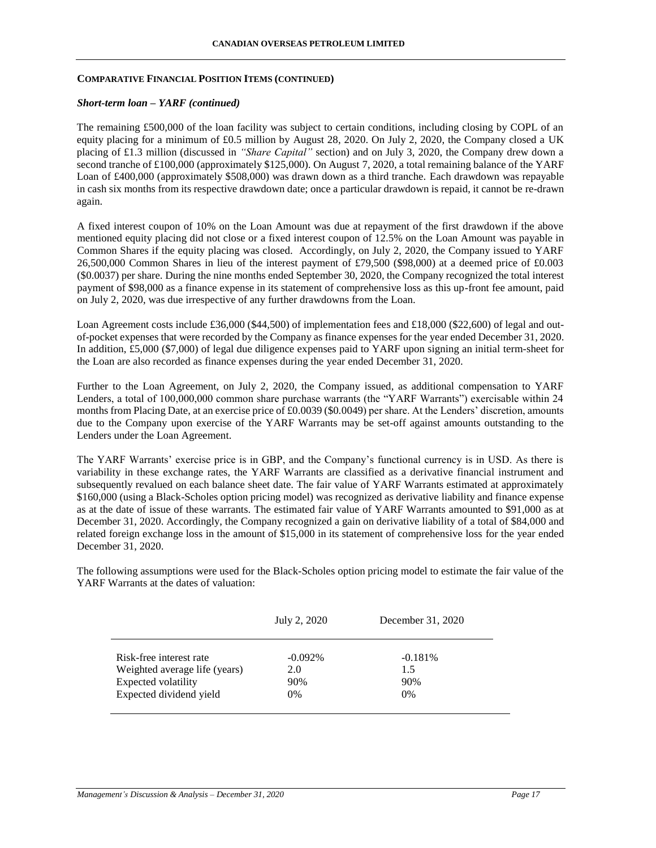### *Short-term loan – YARF (continued)*

The remaining £500,000 of the loan facility was subject to certain conditions, including closing by COPL of an equity placing for a minimum of £0.5 million by August 28, 2020. On July 2, 2020, the Company closed a UK placing of £1.3 million (discussed in *"Share Capital"* section) and on July 3, 2020, the Company drew down a second tranche of £100,000 (approximately \$125,000). On August 7, 2020, a total remaining balance of the YARF Loan of £400,000 (approximately \$508,000) was drawn down as a third tranche. Each drawdown was repayable in cash six months from its respective drawdown date; once a particular drawdown is repaid, it cannot be re-drawn again.

A fixed interest coupon of 10% on the Loan Amount was due at repayment of the first drawdown if the above mentioned equity placing did not close or a fixed interest coupon of 12.5% on the Loan Amount was payable in Common Shares if the equity placing was closed. Accordingly, on July 2, 2020, the Company issued to YARF 26,500,000 Common Shares in lieu of the interest payment of £79,500 (\$98,000) at a deemed price of £0.003 (\$0.0037) per share. During the nine months ended September 30, 2020, the Company recognized the total interest payment of \$98,000 as a finance expense in its statement of comprehensive loss as this up-front fee amount, paid on July 2, 2020, was due irrespective of any further drawdowns from the Loan.

Loan Agreement costs include £36,000 (\$44,500) of implementation fees and £18,000 (\$22,600) of legal and outof-pocket expenses that were recorded by the Company as finance expenses for the year ended December 31, 2020. In addition, £5,000 (\$7,000) of legal due diligence expenses paid to YARF upon signing an initial term-sheet for the Loan are also recorded as finance expenses during the year ended December 31, 2020.

Further to the Loan Agreement, on July 2, 2020, the Company issued, as additional compensation to YARF Lenders, a total of 100,000,000 common share purchase warrants (the "YARF Warrants") exercisable within 24 months from Placing Date, at an exercise price of £0.0039 (\$0.0049) per share. At the Lenders' discretion, amounts due to the Company upon exercise of the YARF Warrants may be set-off against amounts outstanding to the Lenders under the Loan Agreement.

The YARF Warrants' exercise price is in GBP, and the Company's functional currency is in USD. As there is variability in these exchange rates, the YARF Warrants are classified as a derivative financial instrument and subsequently revalued on each balance sheet date. The fair value of YARF Warrants estimated at approximately \$160,000 (using a Black-Scholes option pricing model) was recognized as derivative liability and finance expense as at the date of issue of these warrants. The estimated fair value of YARF Warrants amounted to \$91,000 as at December 31, 2020. Accordingly, the Company recognized a gain on derivative liability of a total of \$84,000 and related foreign exchange loss in the amount of \$15,000 in its statement of comprehensive loss for the year ended December 31, 2020.

The following assumptions were used for the Black-Scholes option pricing model to estimate the fair value of the YARF Warrants at the dates of valuation:

|                                                                                 | July 2, 2020             | December 31, 2020       |
|---------------------------------------------------------------------------------|--------------------------|-------------------------|
| Risk-free interest rate<br>Weighted average life (years)<br>Expected volatility | $-0.092\%$<br>2.0<br>90% | $-0.181%$<br>1.5<br>90% |
| Expected dividend yield                                                         | $0\%$                    | $0\%$                   |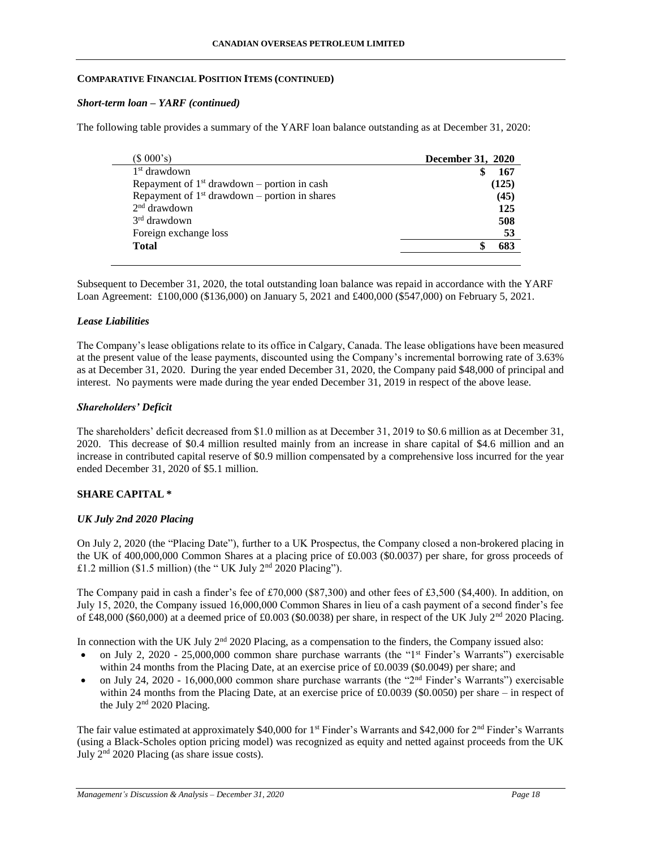### *Short-term loan – YARF (continued)*

The following table provides a summary of the YARF loan balance outstanding as at December 31, 2020:

| (\$000's)                                       | <b>December 31, 2020</b> |
|-------------------------------------------------|--------------------------|
| 1 <sup>st</sup> drawdown                        | 167                      |
| Repayment of $1st$ drawdown – portion in cash   | (125)                    |
| Repayment of $1st$ drawdown – portion in shares | (45)                     |
| $2nd$ drawdown                                  | 125                      |
| $3rd$ drawdown                                  | 508                      |
| Foreign exchange loss                           | 53                       |
| <b>Total</b>                                    | 683                      |
|                                                 |                          |

Subsequent to December 31, 2020, the total outstanding loan balance was repaid in accordance with the YARF Loan Agreement: £100,000 (\$136,000) on January 5, 2021 and £400,000 (\$547,000) on February 5, 2021.

## *Lease Liabilities*

The Company's lease obligations relate to its office in Calgary, Canada. The lease obligations have been measured at the present value of the lease payments, discounted using the Company's incremental borrowing rate of 3.63% as at December 31, 2020. During the year ended December 31, 2020, the Company paid \$48,000 of principal and interest. No payments were made during the year ended December 31, 2019 in respect of the above lease.

# *Shareholders' Deficit*

The shareholders' deficit decreased from \$1.0 million as at December 31, 2019 to \$0.6 million as at December 31, 2020. This decrease of \$0.4 million resulted mainly from an increase in share capital of \$4.6 million and an increase in contributed capital reserve of \$0.9 million compensated by a comprehensive loss incurred for the year ended December 31, 2020 of \$5.1 million.

# **SHARE CAPITAL \***

# *UK July 2nd 2020 Placing*

On July 2, 2020 (the "Placing Date"), further to a UK Prospectus, the Company closed a non-brokered placing in the UK of 400,000,000 Common Shares at a placing price of £0.003 (\$0.0037) per share, for gross proceeds of £1.2 million (\$1.5 million) (the "UK July  $2<sup>nd</sup> 2020$  Placing").

The Company paid in cash a finder's fee of £70,000 (\$87,300) and other fees of £3,500 (\$4,400). In addition, on July 15, 2020, the Company issued 16,000,000 Common Shares in lieu of a cash payment of a second finder's fee of £48,000 (\$60,000) at a deemed price of £0.003 (\$0.0038) per share, in respect of the UK July 2nd 2020 Placing.

In connection with the UK July 2<sup>nd</sup> 2020 Placing, as a compensation to the finders, the Company issued also:

- on July 2, 2020 25,000,000 common share purchase warrants (the "1st Finder's Warrants") exercisable within 24 months from the Placing Date, at an exercise price of £0.0039 (\$0.0049) per share; and
- on July 24, 2020 16,000,000 common share purchase warrants (the "2nd Finder's Warrants") exercisable within 24 months from the Placing Date, at an exercise price of £0.0039 (\$0.0050) per share – in respect of the July  $2<sup>nd</sup> 2020$  Placing.

The fair value estimated at approximately \$40,000 for 1<sup>st</sup> Finder's Warrants and \$42,000 for 2<sup>nd</sup> Finder's Warrants (using a Black-Scholes option pricing model) was recognized as equity and netted against proceeds from the UK July 2nd 2020 Placing (as share issue costs).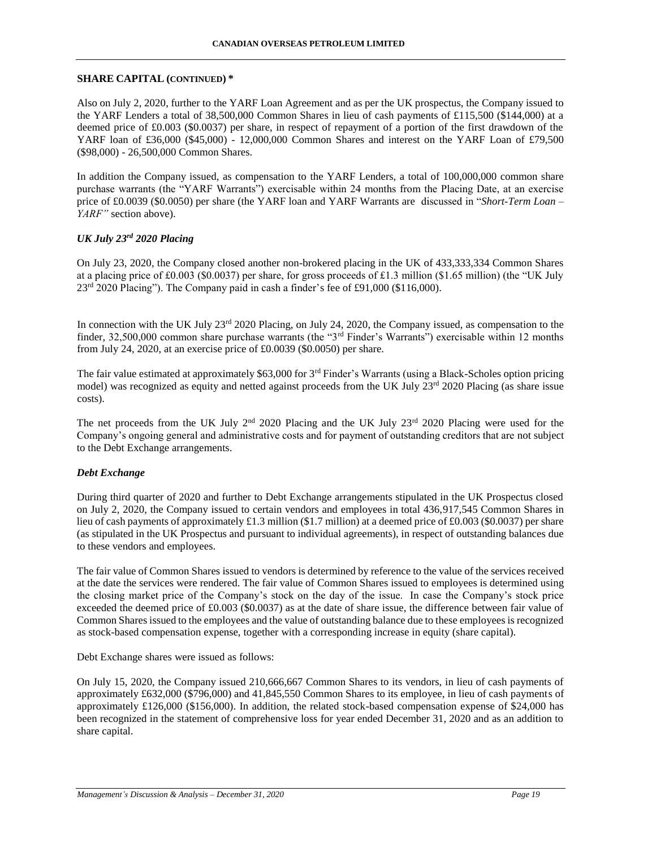Also on July 2, 2020, further to the YARF Loan Agreement and as per the UK prospectus, the Company issued to the YARF Lenders a total of 38,500,000 Common Shares in lieu of cash payments of £115,500 (\$144,000) at a deemed price of £0.003 (\$0.0037) per share, in respect of repayment of a portion of the first drawdown of the YARF loan of £36,000 (\$45,000) - 12,000,000 Common Shares and interest on the YARF Loan of £79,500 (\$98,000) - 26,500,000 Common Shares.

In addition the Company issued, as compensation to the YARF Lenders, a total of 100,000,000 common share purchase warrants (the "YARF Warrants") exercisable within 24 months from the Placing Date, at an exercise price of £0.0039 (\$0.0050) per share (the YARF loan and YARF Warrants are discussed in "*Short-Term Loan – YARF"* section above).

# *UK July 23rd 2020 Placing*

On July 23, 2020, the Company closed another non-brokered placing in the UK of 433,333,334 Common Shares at a placing price of £0.003 (\$0.0037) per share, for gross proceeds of £1.3 million (\$1.65 million) (the "UK July 23<sup>rd</sup> 2020 Placing"). The Company paid in cash a finder's fee of £91,000 (\$116,000).

In connection with the UK July 23<sup>rd</sup> 2020 Placing, on July 24, 2020, the Company issued, as compensation to the finder, 32,500,000 common share purchase warrants (the "3rd Finder's Warrants") exercisable within 12 months from July 24, 2020, at an exercise price of £0.0039 (\$0.0050) per share.

The fair value estimated at approximately \$63,000 for  $3^{rd}$  Finder's Warrants (using a Black-Scholes option pricing model) was recognized as equity and netted against proceeds from the UK July 23<sup>rd</sup> 2020 Placing (as share issue costs).

The net proceeds from the UK July 2<sup>nd</sup> 2020 Placing and the UK July 23<sup>rd</sup> 2020 Placing were used for the Company's ongoing general and administrative costs and for payment of outstanding creditors that are not subject to the Debt Exchange arrangements.

### *Debt Exchange*

During third quarter of 2020 and further to Debt Exchange arrangements stipulated in the UK Prospectus closed on July 2, 2020, the Company issued to certain vendors and employees in total 436,917,545 Common Shares in lieu of cash payments of approximately £1.3 million (\$1.7 million) at a deemed price of £0.003 (\$0.0037) per share (as stipulated in the UK Prospectus and pursuant to individual agreements), in respect of outstanding balances due to these vendors and employees.

The fair value of Common Shares issued to vendors is determined by reference to the value of the services received at the date the services were rendered. The fair value of Common Shares issued to employees is determined using the closing market price of the Company's stock on the day of the issue. In case the Company's stock price exceeded the deemed price of £0.003 (\$0.0037) as at the date of share issue, the difference between fair value of Common Shares issued to the employees and the value of outstanding balance due to these employees is recognized as stock-based compensation expense, together with a corresponding increase in equity (share capital).

Debt Exchange shares were issued as follows:

On July 15, 2020, the Company issued 210,666,667 Common Shares to its vendors, in lieu of cash payments of approximately £632,000 (\$796,000) and 41,845,550 Common Shares to its employee, in lieu of cash payments of approximately £126,000 (\$156,000). In addition, the related stock-based compensation expense of \$24,000 has been recognized in the statement of comprehensive loss for year ended December 31, 2020 and as an addition to share capital.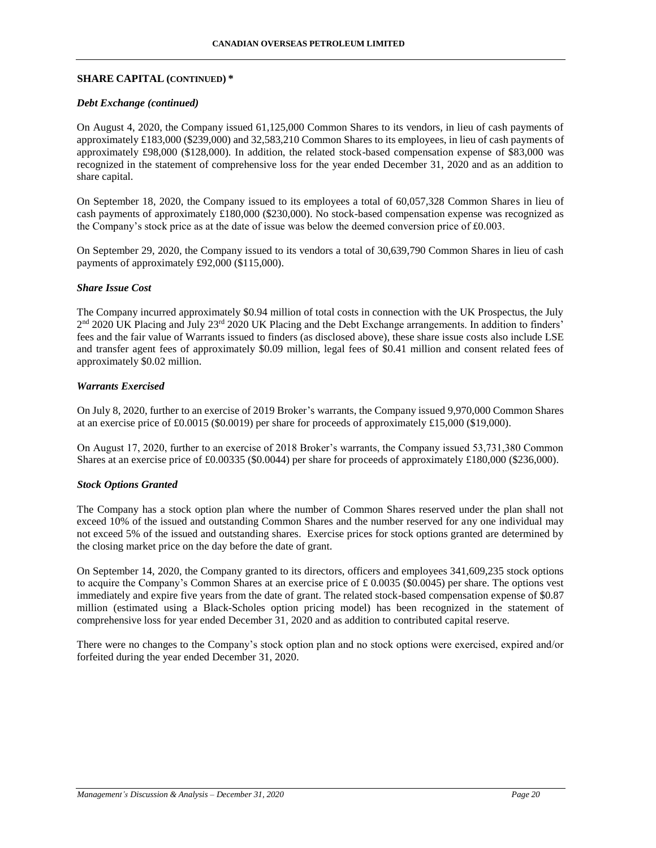### *Debt Exchange (continued)*

On August 4, 2020, the Company issued 61,125,000 Common Shares to its vendors, in lieu of cash payments of approximately £183,000 (\$239,000) and 32,583,210 Common Shares to its employees, in lieu of cash payments of approximately £98,000 (\$128,000). In addition, the related stock-based compensation expense of \$83,000 was recognized in the statement of comprehensive loss for the year ended December 31, 2020 and as an addition to share capital.

On September 18, 2020, the Company issued to its employees a total of 60,057,328 Common Shares in lieu of cash payments of approximately £180,000 (\$230,000). No stock-based compensation expense was recognized as the Company's stock price as at the date of issue was below the deemed conversion price of £0.003.

On September 29, 2020, the Company issued to its vendors a total of 30,639,790 Common Shares in lieu of cash payments of approximately £92,000 (\$115,000).

## *Share Issue Cost*

The Company incurred approximately \$0.94 million of total costs in connection with the UK Prospectus, the July 2<sup>nd</sup> 2020 UK Placing and July 23<sup>rd</sup> 2020 UK Placing and the Debt Exchange arrangements. In addition to finders' fees and the fair value of Warrants issued to finders (as disclosed above), these share issue costs also include LSE and transfer agent fees of approximately \$0.09 million, legal fees of \$0.41 million and consent related fees of approximately \$0.02 million.

## *Warrants Exercised*

On July 8, 2020, further to an exercise of 2019 Broker's warrants, the Company issued 9,970,000 Common Shares at an exercise price of £0.0015 (\$0.0019) per share for proceeds of approximately £15,000 (\$19,000).

On August 17, 2020, further to an exercise of 2018 Broker's warrants, the Company issued 53,731,380 Common Shares at an exercise price of £0.00335 (\$0.0044) per share for proceeds of approximately £180,000 (\$236,000).

### *Stock Options Granted*

The Company has a stock option plan where the number of Common Shares reserved under the plan shall not exceed 10% of the issued and outstanding Common Shares and the number reserved for any one individual may not exceed 5% of the issued and outstanding shares. Exercise prices for stock options granted are determined by the closing market price on the day before the date of grant.

On September 14, 2020, the Company granted to its directors, officers and employees 341,609,235 stock options to acquire the Company's Common Shares at an exercise price of £ 0.0035 (\$0.0045) per share. The options vest immediately and expire five years from the date of grant. The related stock-based compensation expense of \$0.87 million (estimated using a Black-Scholes option pricing model) has been recognized in the statement of comprehensive loss for year ended December 31, 2020 and as addition to contributed capital reserve.

There were no changes to the Company's stock option plan and no stock options were exercised, expired and/or forfeited during the year ended December 31, 2020.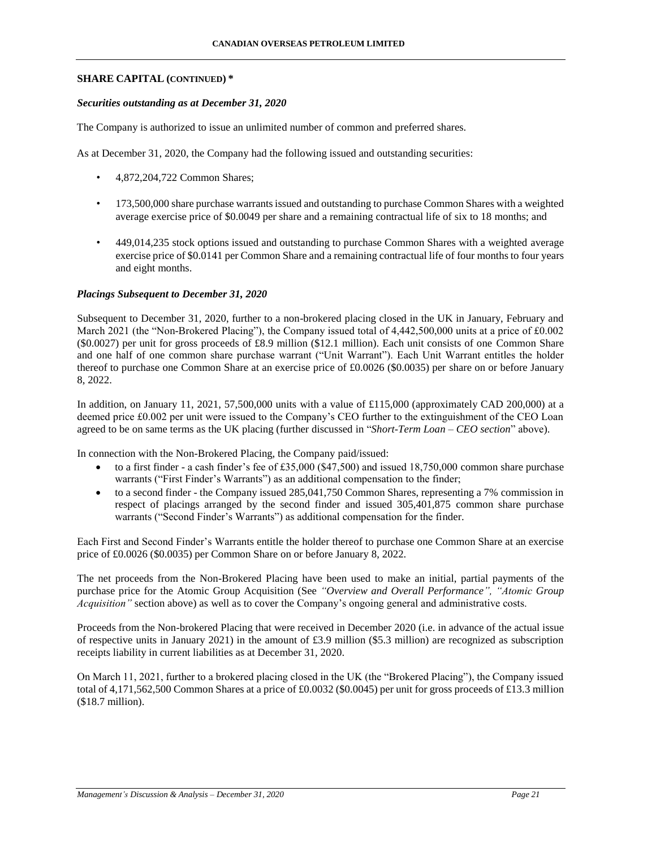### *Securities outstanding as at December 31, 2020*

The Company is authorized to issue an unlimited number of common and preferred shares.

As at December 31, 2020, the Company had the following issued and outstanding securities:

- 4,872,204,722 Common Shares;
- 173,500,000 share purchase warrants issued and outstanding to purchase Common Shares with a weighted average exercise price of \$0.0049 per share and a remaining contractual life of six to 18 months; and
- 449,014,235 stock options issued and outstanding to purchase Common Shares with a weighted average exercise price of \$0.0141 per Common Share and a remaining contractual life of four months to four years and eight months.

# *Placings Subsequent to December 31, 2020*

Subsequent to December 31, 2020, further to a non-brokered placing closed in the UK in January, February and March 2021 (the "Non-Brokered Placing"), the Company issued total of 4,442,500,000 units at a price of £0.002 (\$0.0027) per unit for gross proceeds of £8.9 million (\$12.1 million). Each unit consists of one Common Share and one half of one common share purchase warrant ("Unit Warrant"). Each Unit Warrant entitles the holder thereof to purchase one Common Share at an exercise price of £0.0026 (\$0.0035) per share on or before January 8, 2022.

In addition, on January 11, 2021, 57,500,000 units with a value of £115,000 (approximately CAD 200,000) at a deemed price £0.002 per unit were issued to the Company's CEO further to the extinguishment of the CEO Loan agreed to be on same terms as the UK placing (further discussed in "*Short-Term Loan – CEO section*" above).

In connection with the Non-Brokered Placing, the Company paid/issued:

- $\bullet$  to a first finder a cash finder's fee of £35,000 (\$47,500) and issued 18,750,000 common share purchase warrants ("First Finder's Warrants") as an additional compensation to the finder;
- to a second finder the Company issued 285,041,750 Common Shares, representing a 7% commission in respect of placings arranged by the second finder and issued 305,401,875 common share purchase warrants ("Second Finder's Warrants") as additional compensation for the finder.

Each First and Second Finder's Warrants entitle the holder thereof to purchase one Common Share at an exercise price of £0.0026 (\$0.0035) per Common Share on or before January 8, 2022.

The net proceeds from the Non-Brokered Placing have been used to make an initial, partial payments of the purchase price for the Atomic Group Acquisition (See *"Overview and Overall Performance", "Atomic Group Acquisition"* section above) as well as to cover the Company's ongoing general and administrative costs.

Proceeds from the Non-brokered Placing that were received in December 2020 (i.e. in advance of the actual issue of respective units in January 2021) in the amount of £3.9 million (\$5.3 million) are recognized as subscription receipts liability in current liabilities as at December 31, 2020.

On March 11, 2021, further to a brokered placing closed in the UK (the "Brokered Placing"), the Company issued total of 4,171,562,500 Common Shares at a price of £0.0032 (\$0.0045) per unit for gross proceeds of £13.3 million (\$18.7 million).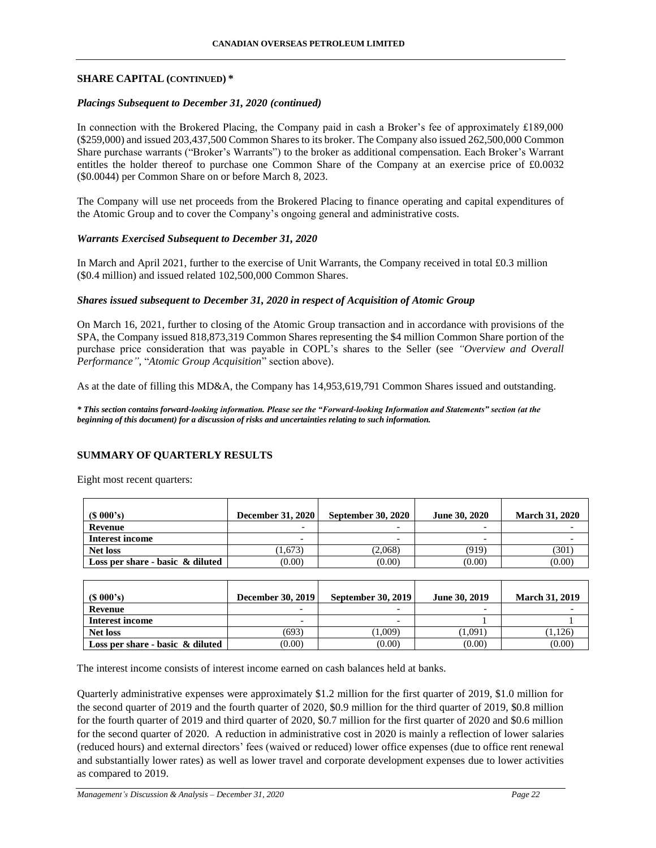## *Placings Subsequent to December 31, 2020 (continued)*

In connection with the Brokered Placing, the Company paid in cash a Broker's fee of approximately £189,000 (\$259,000) and issued 203,437,500 Common Shares to its broker. The Company also issued 262,500,000 Common Share purchase warrants ("Broker's Warrants") to the broker as additional compensation. Each Broker's Warrant entitles the holder thereof to purchase one Common Share of the Company at an exercise price of £0.0032 (\$0.0044) per Common Share on or before March 8, 2023.

The Company will use net proceeds from the Brokered Placing to finance operating and capital expenditures of the Atomic Group and to cover the Company's ongoing general and administrative costs.

### *Warrants Exercised Subsequent to December 31, 2020*

In March and April 2021, further to the exercise of Unit Warrants, the Company received in total £0.3 million (\$0.4 million) and issued related 102,500,000 Common Shares.

## *Shares issued subsequent to December 31, 2020 in respect of Acquisition of Atomic Group*

On March 16, 2021, further to closing of the Atomic Group transaction and in accordance with provisions of the SPA, the Company issued 818,873,319 Common Shares representing the \$4 million Common Share portion of the purchase price consideration that was payable in COPL's shares to the Seller (see *"Overview and Overall Performance",* "*Atomic Group Acquisition*" section above).

As at the date of filling this MD&A, the Company has 14,953,619,791 Common Shares issued and outstanding.

*\* This section contains forward-looking information. Please see the "Forward-looking Information and Statements" section (at the beginning of this document) for a discussion of risks and uncertainties relating to such information.*

# **SUMMARY OF QUARTERLY RESULTS**

Eight most recent quarters:

| $(S\ 000's)$                        | <b>December 31, 2020</b> | <b>September 30, 2020</b> | <b>June 30, 2020</b>     | <b>March 31, 2020</b> |
|-------------------------------------|--------------------------|---------------------------|--------------------------|-----------------------|
| Revenue                             | $\overline{\phantom{0}}$ | $\overline{\phantom{0}}$  | $\overline{\phantom{0}}$ |                       |
| <b>Interest income</b>              | $\overline{\phantom{a}}$ | $\overline{\phantom{0}}$  | $\overline{\phantom{0}}$ |                       |
| <b>Net loss</b>                     | 1,673                    | (2.068)                   | (919)                    | (301)                 |
| Loss per share - basic $\&$ diluted | (0.00)                   | (0.00)                    | (0.00)                   | (0.00)                |

| $(S\ 000's)$                        | <b>December 30, 2019</b> | <b>September 30, 2019</b> | <b>June 30, 2019</b>     | <b>March 31, 2019</b> |
|-------------------------------------|--------------------------|---------------------------|--------------------------|-----------------------|
| Revenue                             | -                        |                           | $\overline{\phantom{0}}$ |                       |
| Interest income                     | $\overline{\phantom{0}}$ | $\overline{\phantom{0}}$  |                          |                       |
| <b>Net loss</b>                     | (693)                    | (1.009)                   | (1,091)                  | (1,126)               |
| Loss per share - basic $\&$ diluted | (0.00)                   | (0.00)                    | (0.00)                   | (0.00)                |

The interest income consists of interest income earned on cash balances held at banks.

Quarterly administrative expenses were approximately \$1.2 million for the first quarter of 2019, \$1.0 million for the second quarter of 2019 and the fourth quarter of 2020, \$0.9 million for the third quarter of 2019, \$0.8 million for the fourth quarter of 2019 and third quarter of 2020, \$0.7 million for the first quarter of 2020 and \$0.6 million for the second quarter of 2020. A reduction in administrative cost in 2020 is mainly a reflection of lower salaries (reduced hours) and external directors' fees (waived or reduced) lower office expenses (due to office rent renewal and substantially lower rates) as well as lower travel and corporate development expenses due to lower activities as compared to 2019.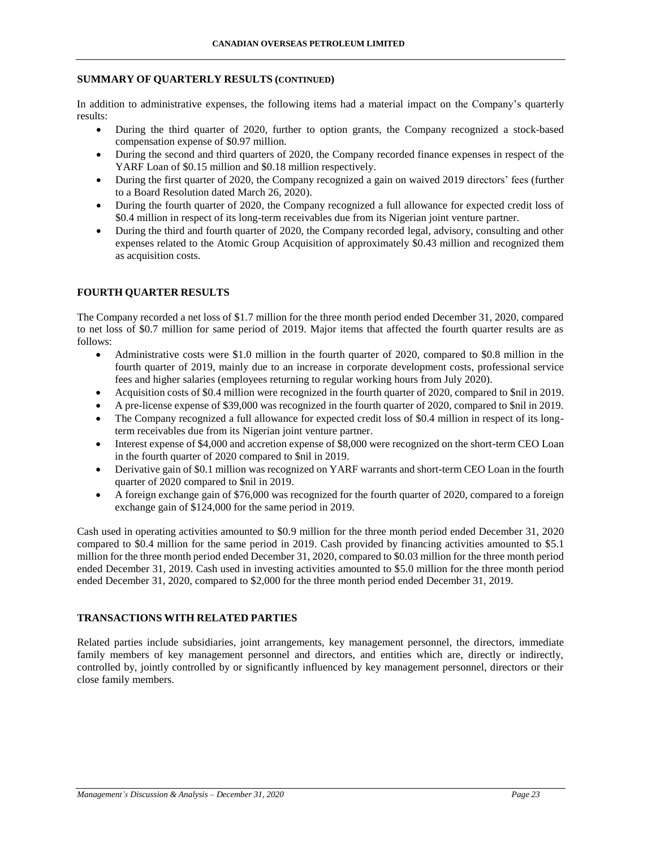## **SUMMARY OF QUARTERLY RESULTS (CONTINUED)**

In addition to administrative expenses, the following items had a material impact on the Company's quarterly results:

- During the third quarter of 2020, further to option grants, the Company recognized a stock-based compensation expense of \$0.97 million.
- During the second and third quarters of 2020, the Company recorded finance expenses in respect of the YARF Loan of \$0.15 million and \$0.18 million respectively.
- During the first quarter of 2020, the Company recognized a gain on waived 2019 directors' fees (further to a Board Resolution dated March 26, 2020).
- During the fourth quarter of 2020, the Company recognized a full allowance for expected credit loss of \$0.4 million in respect of its long-term receivables due from its Nigerian joint venture partner.
- During the third and fourth quarter of 2020, the Company recorded legal, advisory, consulting and other expenses related to the Atomic Group Acquisition of approximately \$0.43 million and recognized them as acquisition costs.

# **FOURTH QUARTER RESULTS**

The Company recorded a net loss of \$1.7 million for the three month period ended December 31, 2020, compared to net loss of \$0.7 million for same period of 2019. Major items that affected the fourth quarter results are as follows:

- Administrative costs were \$1.0 million in the fourth quarter of 2020, compared to \$0.8 million in the fourth quarter of 2019, mainly due to an increase in corporate development costs, professional service fees and higher salaries (employees returning to regular working hours from July 2020).
- Acquisition costs of \$0.4 million were recognized in the fourth quarter of 2020, compared to \$nil in 2019.
- A pre-license expense of \$39,000 was recognized in the fourth quarter of 2020, compared to \$nil in 2019.
- The Company recognized a full allowance for expected credit loss of \$0.4 million in respect of its longterm receivables due from its Nigerian joint venture partner.
- Interest expense of \$4,000 and accretion expense of \$8,000 were recognized on the short-term CEO Loan in the fourth quarter of 2020 compared to \$nil in 2019.
- Derivative gain of \$0.1 million was recognized on YARF warrants and short-term CEO Loan in the fourth quarter of 2020 compared to \$nil in 2019.
- A foreign exchange gain of \$76,000 was recognized for the fourth quarter of 2020, compared to a foreign exchange gain of \$124,000 for the same period in 2019.

Cash used in operating activities amounted to \$0.9 million for the three month period ended December 31, 2020 compared to \$0.4 million for the same period in 2019. Cash provided by financing activities amounted to \$5.1 million for the three month period ended December 31, 2020, compared to \$0.03 million for the three month period ended December 31, 2019. Cash used in investing activities amounted to \$5.0 million for the three month period ended December 31, 2020, compared to \$2,000 for the three month period ended December 31, 2019.

# **TRANSACTIONS WITH RELATED PARTIES**

Related parties include subsidiaries, joint arrangements, key management personnel, the directors, immediate family members of key management personnel and directors, and entities which are, directly or indirectly, controlled by, jointly controlled by or significantly influenced by key management personnel, directors or their close family members.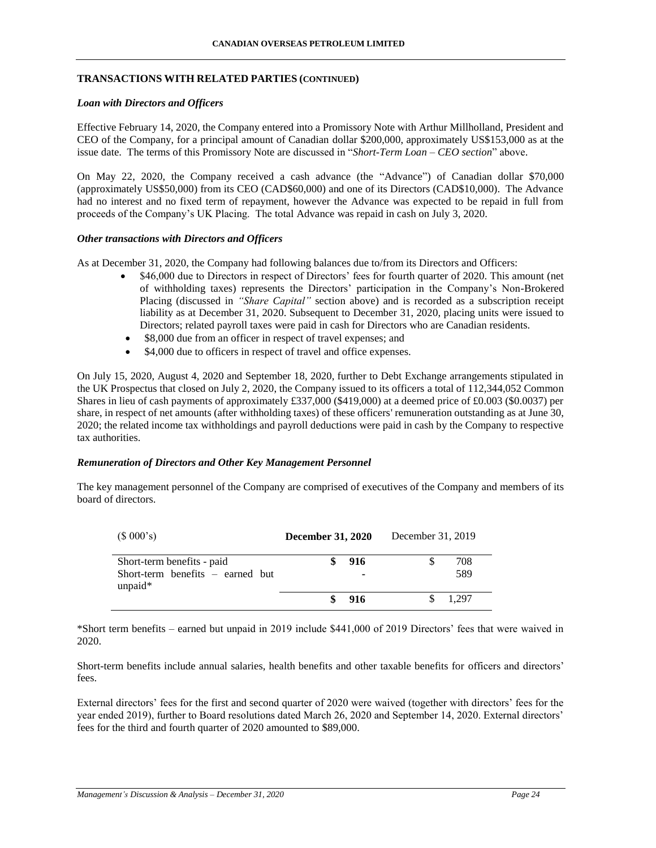## **TRANSACTIONS WITH RELATED PARTIES (CONTINUED)**

### *Loan with Directors and Officers*

Effective February 14, 2020, the Company entered into a Promissory Note with Arthur Millholland, President and CEO of the Company, for a principal amount of Canadian dollar \$200,000, approximately US\$153,000 as at the issue date. The terms of this Promissory Note are discussed in "*Short-Term Loan – CEO section*" above.

On May 22, 2020, the Company received a cash advance (the "Advance") of Canadian dollar \$70,000 (approximately US\$50,000) from its CEO (CAD\$60,000) and one of its Directors (CAD\$10,000). The Advance had no interest and no fixed term of repayment, however the Advance was expected to be repaid in full from proceeds of the Company's UK Placing. The total Advance was repaid in cash on July 3, 2020.

# *Other transactions with Directors and Officers*

As at December 31, 2020, the Company had following balances due to/from its Directors and Officers:

- \$46,000 due to Directors in respect of Directors' fees for fourth quarter of 2020. This amount (net of withholding taxes) represents the Directors' participation in the Company's Non-Brokered Placing (discussed in *"Share Capital"* section above) and is recorded as a subscription receipt liability as at December 31, 2020. Subsequent to December 31, 2020, placing units were issued to Directors; related payroll taxes were paid in cash for Directors who are Canadian residents.
- \$8,000 due from an officer in respect of travel expenses; and
- \$4,000 due to officers in respect of travel and office expenses.

On July 15, 2020, August 4, 2020 and September 18, 2020, further to Debt Exchange arrangements stipulated in the UK Prospectus that closed on July 2, 2020, the Company issued to its officers a total of 112,344,052 Common Shares in lieu of cash payments of approximately £337,000 (\$419,000) at a deemed price of £0.003 (\$0.0037) per share, in respect of net amounts (after withholding taxes) of these officers' remuneration outstanding as at June 30, 2020; the related income tax withholdings and payroll deductions were paid in cash by the Company to respective tax authorities.

### *Remuneration of Directors and Other Key Management Personnel*

The key management personnel of the Company are comprised of executives of the Company and members of its board of directors.

| (\$000's)                                        | <b>December 31, 2020</b> |     | December 31, 2019 |       |
|--------------------------------------------------|--------------------------|-----|-------------------|-------|
| Short-term benefits - paid                       |                          | 916 |                   | 708   |
| Short-term benefits $-$ earned but<br>unpaid $*$ |                          | ۰   |                   | 589   |
|                                                  |                          | 916 |                   | 1.297 |

\*Short term benefits – earned but unpaid in 2019 include \$441,000 of 2019 Directors' fees that were waived in 2020.

Short-term benefits include annual salaries, health benefits and other taxable benefits for officers and directors' fees.

External directors' fees for the first and second quarter of 2020 were waived (together with directors' fees for the year ended 2019), further to Board resolutions dated March 26, 2020 and September 14, 2020. External directors' fees for the third and fourth quarter of 2020 amounted to \$89,000.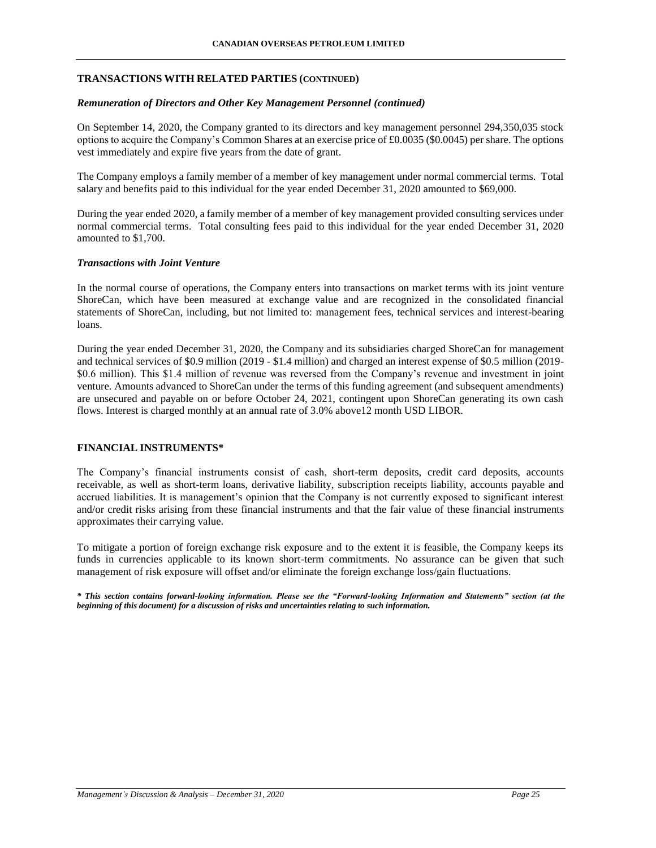## **TRANSACTIONS WITH RELATED PARTIES (CONTINUED)**

### *Remuneration of Directors and Other Key Management Personnel (continued)*

On September 14, 2020, the Company granted to its directors and key management personnel 294,350,035 stock options to acquire the Company's Common Shares at an exercise price of £0.0035 (\$0.0045) per share. The options vest immediately and expire five years from the date of grant.

The Company employs a family member of a member of key management under normal commercial terms. Total salary and benefits paid to this individual for the year ended December 31, 2020 amounted to \$69,000.

During the year ended 2020, a family member of a member of key management provided consulting services under normal commercial terms. Total consulting fees paid to this individual for the year ended December 31, 2020 amounted to \$1,700.

### *Transactions with Joint Venture*

In the normal course of operations, the Company enters into transactions on market terms with its joint venture ShoreCan, which have been measured at exchange value and are recognized in the consolidated financial statements of ShoreCan, including, but not limited to: management fees, technical services and interest-bearing loans.

During the year ended December 31, 2020, the Company and its subsidiaries charged ShoreCan for management and technical services of \$0.9 million (2019 - \$1.4 million) and charged an interest expense of \$0.5 million (2019- \$0.6 million). This \$1.4 million of revenue was reversed from the Company's revenue and investment in joint venture. Amounts advanced to ShoreCan under the terms of this funding agreement (and subsequent amendments) are unsecured and payable on or before October 24, 2021, contingent upon ShoreCan generating its own cash flows. Interest is charged monthly at an annual rate of 3.0% above12 month USD LIBOR.

### **FINANCIAL INSTRUMENTS\***

The Company's financial instruments consist of cash, short-term deposits, credit card deposits, accounts receivable, as well as short-term loans, derivative liability, subscription receipts liability, accounts payable and accrued liabilities. It is management's opinion that the Company is not currently exposed to significant interest and/or credit risks arising from these financial instruments and that the fair value of these financial instruments approximates their carrying value.

To mitigate a portion of foreign exchange risk exposure and to the extent it is feasible, the Company keeps its funds in currencies applicable to its known short-term commitments. No assurance can be given that such management of risk exposure will offset and/or eliminate the foreign exchange loss/gain fluctuations.

*\* This section contains forward-looking information. Please see the "Forward-looking Information and Statements" section (at the beginning of this document) for a discussion of risks and uncertainties relating to such information.*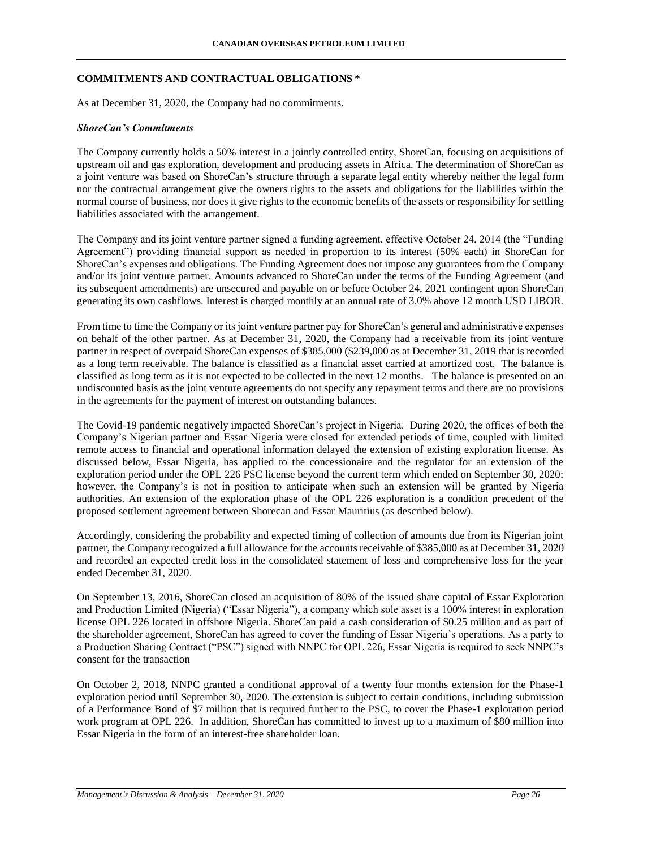### **COMMITMENTS AND CONTRACTUAL OBLIGATIONS \***

As at December 31, 2020, the Company had no commitments.

### *ShoreCan's Commitments*

The Company currently holds a 50% interest in a jointly controlled entity, ShoreCan, focusing on acquisitions of upstream oil and gas exploration, development and producing assets in Africa. The determination of ShoreCan as a joint venture was based on ShoreCan's structure through a separate legal entity whereby neither the legal form nor the contractual arrangement give the owners rights to the assets and obligations for the liabilities within the normal course of business, nor does it give rights to the economic benefits of the assets or responsibility for settling liabilities associated with the arrangement.

The Company and its joint venture partner signed a funding agreement, effective October 24, 2014 (the "Funding Agreement") providing financial support as needed in proportion to its interest (50% each) in ShoreCan for ShoreCan's expenses and obligations. The Funding Agreement does not impose any guarantees from the Company and/or its joint venture partner. Amounts advanced to ShoreCan under the terms of the Funding Agreement (and its subsequent amendments) are unsecured and payable on or before October 24, 2021 contingent upon ShoreCan generating its own cashflows. Interest is charged monthly at an annual rate of 3.0% above 12 month USD LIBOR.

From time to time the Company or its joint venture partner pay for ShoreCan's general and administrative expenses on behalf of the other partner. As at December 31, 2020, the Company had a receivable from its joint venture partner in respect of overpaid ShoreCan expenses of \$385,000 (\$239,000 as at December 31, 2019 that is recorded as a long term receivable. The balance is classified as a financial asset carried at amortized cost. The balance is classified as long term as it is not expected to be collected in the next 12 months. The balance is presented on an undiscounted basis as the joint venture agreements do not specify any repayment terms and there are no provisions in the agreements for the payment of interest on outstanding balances.

The Covid-19 pandemic negatively impacted ShoreCan's project in Nigeria. During 2020, the offices of both the Company's Nigerian partner and Essar Nigeria were closed for extended periods of time, coupled with limited remote access to financial and operational information delayed the extension of existing exploration license. As discussed below, Essar Nigeria, has applied to the concessionaire and the regulator for an extension of the exploration period under the OPL 226 PSC license beyond the current term which ended on September 30, 2020; however, the Company's is not in position to anticipate when such an extension will be granted by Nigeria authorities. An extension of the exploration phase of the OPL 226 exploration is a condition precedent of the proposed settlement agreement between Shorecan and Essar Mauritius (as described below).

Accordingly, considering the probability and expected timing of collection of amounts due from its Nigerian joint partner, the Company recognized a full allowance for the accounts receivable of \$385,000 as at December 31, 2020 and recorded an expected credit loss in the consolidated statement of loss and comprehensive loss for the year ended December 31, 2020.

On September 13, 2016, ShoreCan closed an acquisition of 80% of the issued share capital of Essar Exploration and Production Limited (Nigeria) ("Essar Nigeria"), a company which sole asset is a 100% interest in exploration license OPL 226 located in offshore Nigeria. ShoreCan paid a cash consideration of \$0.25 million and as part of the shareholder agreement, ShoreCan has agreed to cover the funding of Essar Nigeria's operations. As a party to a Production Sharing Contract ("PSC") signed with NNPC for OPL 226, Essar Nigeria is required to seek NNPC's consent for the transaction

On October 2, 2018, NNPC granted a conditional approval of a twenty four months extension for the Phase-1 exploration period until September 30, 2020. The extension is subject to certain conditions, including submission of a Performance Bond of \$7 million that is required further to the PSC, to cover the Phase-1 exploration period work program at OPL 226. In addition, ShoreCan has committed to invest up to a maximum of \$80 million into Essar Nigeria in the form of an interest-free shareholder loan.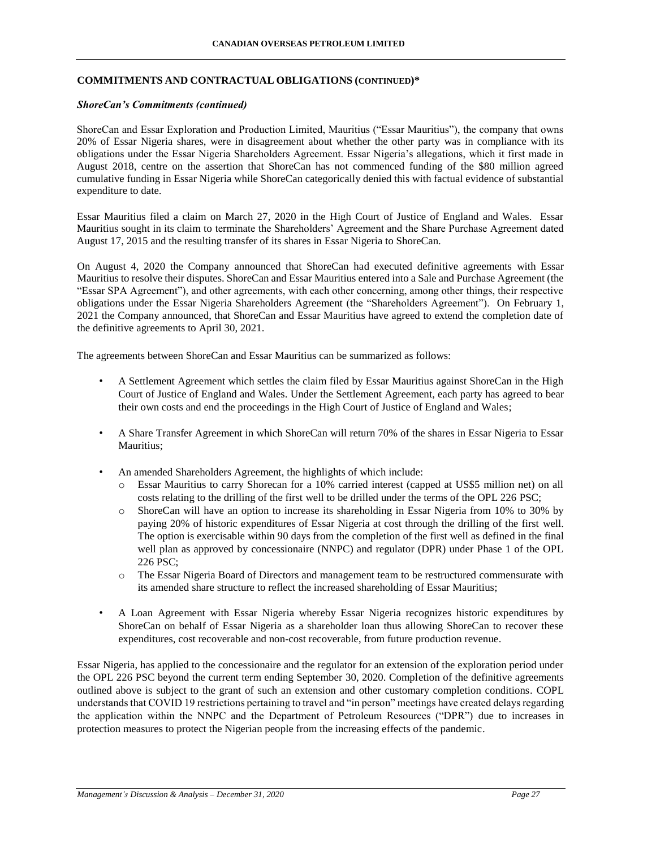## **COMMITMENTS AND CONTRACTUAL OBLIGATIONS (CONTINUED)\***

### *ShoreCan's Commitments (continued)*

ShoreCan and Essar Exploration and Production Limited, Mauritius ("Essar Mauritius"), the company that owns 20% of Essar Nigeria shares, were in disagreement about whether the other party was in compliance with its obligations under the Essar Nigeria Shareholders Agreement. Essar Nigeria's allegations, which it first made in August 2018, centre on the assertion that ShoreCan has not commenced funding of the \$80 million agreed cumulative funding in Essar Nigeria while ShoreCan categorically denied this with factual evidence of substantial expenditure to date.

Essar Mauritius filed a claim on March 27, 2020 in the High Court of Justice of England and Wales. Essar Mauritius sought in its claim to terminate the Shareholders' Agreement and the Share Purchase Agreement dated August 17, 2015 and the resulting transfer of its shares in Essar Nigeria to ShoreCan.

On August 4, 2020 the Company announced that ShoreCan had executed definitive agreements with Essar Mauritius to resolve their disputes. ShoreCan and Essar Mauritius entered into a Sale and Purchase Agreement (the "Essar SPA Agreement"), and other agreements, with each other concerning, among other things, their respective obligations under the Essar Nigeria Shareholders Agreement (the "Shareholders Agreement"). On February 1, 2021 the Company announced, that ShoreCan and Essar Mauritius have agreed to extend the completion date of the definitive agreements to April 30, 2021.

The agreements between ShoreCan and Essar Mauritius can be summarized as follows:

- A Settlement Agreement which settles the claim filed by Essar Mauritius against ShoreCan in the High Court of Justice of England and Wales. Under the Settlement Agreement, each party has agreed to bear their own costs and end the proceedings in the High Court of Justice of England and Wales;
- A Share Transfer Agreement in which ShoreCan will return 70% of the shares in Essar Nigeria to Essar Mauritius;
- An amended Shareholders Agreement, the highlights of which include:
	- o Essar Mauritius to carry Shorecan for a 10% carried interest (capped at US\$5 million net) on all costs relating to the drilling of the first well to be drilled under the terms of the OPL 226 PSC;
	- o ShoreCan will have an option to increase its shareholding in Essar Nigeria from 10% to 30% by paying 20% of historic expenditures of Essar Nigeria at cost through the drilling of the first well. The option is exercisable within 90 days from the completion of the first well as defined in the final well plan as approved by concessionaire (NNPC) and regulator (DPR) under Phase 1 of the OPL 226 PSC;
	- o The Essar Nigeria Board of Directors and management team to be restructured commensurate with its amended share structure to reflect the increased shareholding of Essar Mauritius;
- A Loan Agreement with Essar Nigeria whereby Essar Nigeria recognizes historic expenditures by ShoreCan on behalf of Essar Nigeria as a shareholder loan thus allowing ShoreCan to recover these expenditures, cost recoverable and non-cost recoverable, from future production revenue.

Essar Nigeria, has applied to the concessionaire and the regulator for an extension of the exploration period under the OPL 226 PSC beyond the current term ending September 30, 2020. Completion of the definitive agreements outlined above is subject to the grant of such an extension and other customary completion conditions. COPL understands that COVID 19 restrictions pertaining to travel and "in person" meetings have created delays regarding the application within the NNPC and the Department of Petroleum Resources ("DPR") due to increases in protection measures to protect the Nigerian people from the increasing effects of the pandemic.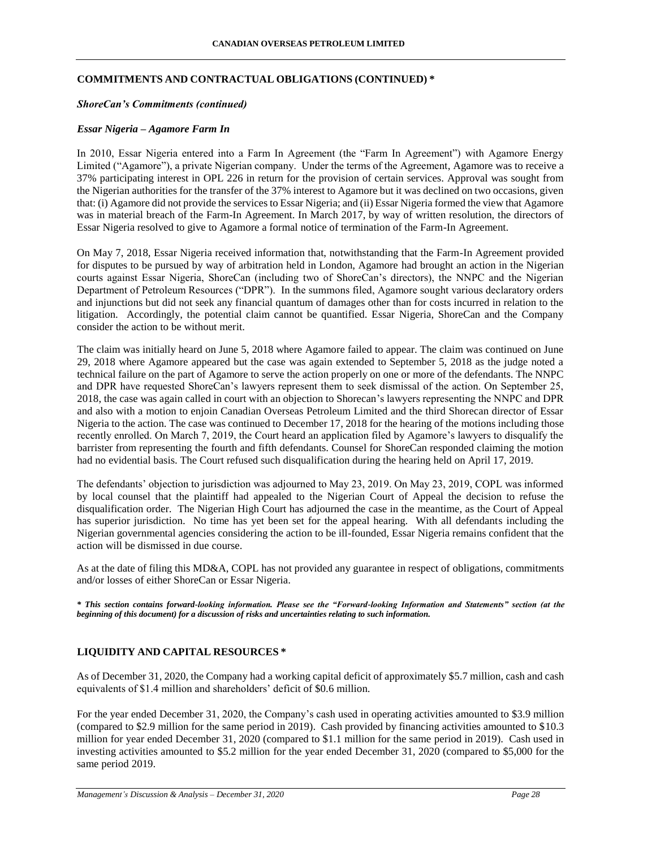### **COMMITMENTS AND CONTRACTUAL OBLIGATIONS (CONTINUED) \***

### *ShoreCan's Commitments (continued)*

### *Essar Nigeria – Agamore Farm In*

In 2010, Essar Nigeria entered into a Farm In Agreement (the "Farm In Agreement") with Agamore Energy Limited ("Agamore"), a private Nigerian company. Under the terms of the Agreement, Agamore was to receive a 37% participating interest in OPL 226 in return for the provision of certain services. Approval was sought from the Nigerian authorities for the transfer of the 37% interest to Agamore but it was declined on two occasions, given that: (i) Agamore did not provide the services to Essar Nigeria; and (ii) Essar Nigeria formed the view that Agamore was in material breach of the Farm-In Agreement. In March 2017, by way of written resolution, the directors of Essar Nigeria resolved to give to Agamore a formal notice of termination of the Farm-In Agreement.

On May 7, 2018, Essar Nigeria received information that, notwithstanding that the Farm-In Agreement provided for disputes to be pursued by way of arbitration held in London, Agamore had brought an action in the Nigerian courts against Essar Nigeria, ShoreCan (including two of ShoreCan's directors), the NNPC and the Nigerian Department of Petroleum Resources ("DPR"). In the summons filed, Agamore sought various declaratory orders and injunctions but did not seek any financial quantum of damages other than for costs incurred in relation to the litigation. Accordingly, the potential claim cannot be quantified. Essar Nigeria, ShoreCan and the Company consider the action to be without merit.

The claim was initially heard on June 5, 2018 where Agamore failed to appear. The claim was continued on June 29, 2018 where Agamore appeared but the case was again extended to September 5, 2018 as the judge noted a technical failure on the part of Agamore to serve the action properly on one or more of the defendants. The NNPC and DPR have requested ShoreCan's lawyers represent them to seek dismissal of the action. On September 25, 2018, the case was again called in court with an objection to Shorecan's lawyers representing the NNPC and DPR and also with a motion to enjoin Canadian Overseas Petroleum Limited and the third Shorecan director of Essar Nigeria to the action. The case was continued to December 17, 2018 for the hearing of the motions including those recently enrolled. On March 7, 2019, the Court heard an application filed by Agamore's lawyers to disqualify the barrister from representing the fourth and fifth defendants. Counsel for ShoreCan responded claiming the motion had no evidential basis. The Court refused such disqualification during the hearing held on April 17, 2019.

The defendants' objection to jurisdiction was adjourned to May 23, 2019. On May 23, 2019, COPL was informed by local counsel that the plaintiff had appealed to the Nigerian Court of Appeal the decision to refuse the disqualification order. The Nigerian High Court has adjourned the case in the meantime, as the Court of Appeal has superior jurisdiction. No time has yet been set for the appeal hearing. With all defendants including the Nigerian governmental agencies considering the action to be ill-founded, Essar Nigeria remains confident that the action will be dismissed in due course.

As at the date of filing this MD&A, COPL has not provided any guarantee in respect of obligations, commitments and/or losses of either ShoreCan or Essar Nigeria.

*\* This section contains forward-looking information. Please see the "Forward-looking Information and Statements" section (at the beginning of this document) for a discussion of risks and uncertainties relating to such information.*

### **LIQUIDITY AND CAPITAL RESOURCES \***

As of December 31, 2020, the Company had a working capital deficit of approximately \$5.7 million, cash and cash equivalents of \$1.4 million and shareholders' deficit of \$0.6 million.

For the year ended December 31, 2020, the Company's cash used in operating activities amounted to \$3.9 million (compared to \$2.9 million for the same period in 2019). Cash provided by financing activities amounted to \$10.3 million for year ended December 31, 2020 (compared to \$1.1 million for the same period in 2019). Cash used in investing activities amounted to \$5.2 million for the year ended December 31, 2020 (compared to \$5,000 for the same period 2019.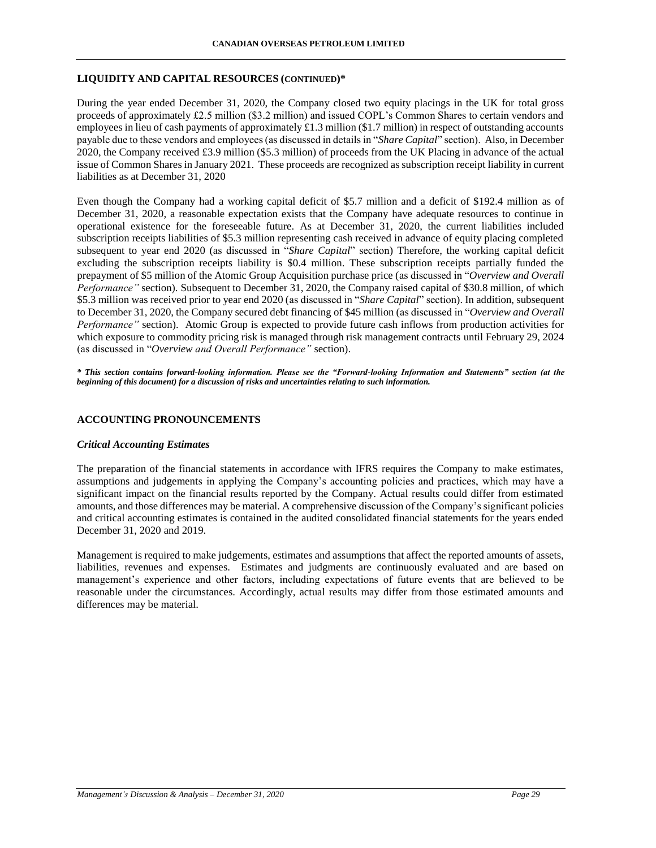## **LIQUIDITY AND CAPITAL RESOURCES (CONTINUED)\***

During the year ended December 31, 2020, the Company closed two equity placings in the UK for total gross proceeds of approximately £2.5 million (\$3.2 million) and issued COPL's Common Shares to certain vendors and employees in lieu of cash payments of approximately  $\pounds$ 1.3 million (\$1.7 million) in respect of outstanding accounts payable due to these vendors and employees (as discussed in details in "*Share Capital*" section). Also, in December 2020, the Company received £3.9 million (\$5.3 million) of proceeds from the UK Placing in advance of the actual issue of Common Shares in January 2021. These proceeds are recognized as subscription receipt liability in current liabilities as at December 31, 2020

Even though the Company had a working capital deficit of \$5.7 million and a deficit of \$192.4 million as of December 31, 2020, a reasonable expectation exists that the Company have adequate resources to continue in operational existence for the foreseeable future. As at December 31, 2020, the current liabilities included subscription receipts liabilities of \$5.3 million representing cash received in advance of equity placing completed subsequent to year end 2020 (as discussed in "*Share Capital*" section) Therefore, the working capital deficit excluding the subscription receipts liability is \$0.4 million. These subscription receipts partially funded the prepayment of \$5 million of the Atomic Group Acquisition purchase price (as discussed in "*Overview and Overall Performance"* section). Subsequent to December 31, 2020, the Company raised capital of \$30.8 million, of which \$5.3 million was received prior to year end 2020 (as discussed in "*Share Capital*" section). In addition, subsequent to December 31, 2020, the Company secured debt financing of \$45 million (as discussed in "*Overview and Overall Performance"* section). Atomic Group is expected to provide future cash inflows from production activities for which exposure to commodity pricing risk is managed through risk management contracts until February 29, 2024 (as discussed in "*Overview and Overall Performance"* section).

*\* This section contains forward-looking information. Please see the "Forward-looking Information and Statements" section (at the beginning of this document) for a discussion of risks and uncertainties relating to such information.*

### **ACCOUNTING PRONOUNCEMENTS**

### *Critical Accounting Estimates*

The preparation of the financial statements in accordance with IFRS requires the Company to make estimates, assumptions and judgements in applying the Company's accounting policies and practices, which may have a significant impact on the financial results reported by the Company. Actual results could differ from estimated amounts, and those differences may be material. A comprehensive discussion of the Company's significant policies and critical accounting estimates is contained in the audited consolidated financial statements for the years ended December 31, 2020 and 2019.

Management is required to make judgements, estimates and assumptions that affect the reported amounts of assets, liabilities, revenues and expenses. Estimates and judgments are continuously evaluated and are based on management's experience and other factors, including expectations of future events that are believed to be reasonable under the circumstances. Accordingly, actual results may differ from those estimated amounts and differences may be material.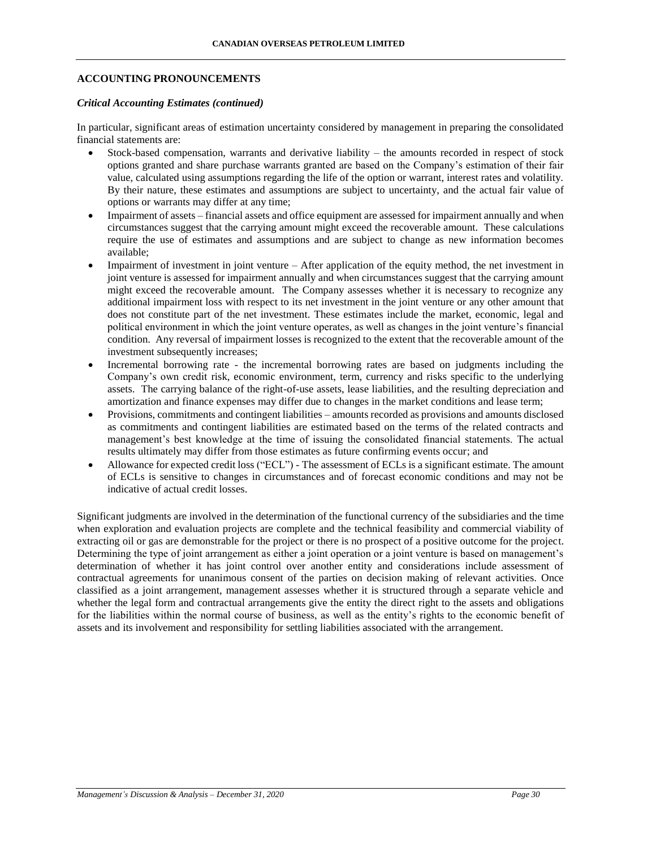## **ACCOUNTING PRONOUNCEMENTS**

### *Critical Accounting Estimates (continued)*

In particular, significant areas of estimation uncertainty considered by management in preparing the consolidated financial statements are:

- Stock-based compensation, warrants and derivative liability the amounts recorded in respect of stock options granted and share purchase warrants granted are based on the Company's estimation of their fair value, calculated using assumptions regarding the life of the option or warrant, interest rates and volatility. By their nature, these estimates and assumptions are subject to uncertainty, and the actual fair value of options or warrants may differ at any time;
- Impairment of assets financial assets and office equipment are assessed for impairment annually and when circumstances suggest that the carrying amount might exceed the recoverable amount. These calculations require the use of estimates and assumptions and are subject to change as new information becomes available;
- Impairment of investment in joint venture After application of the equity method, the net investment in joint venture is assessed for impairment annually and when circumstances suggest that the carrying amount might exceed the recoverable amount. The Company assesses whether it is necessary to recognize any additional impairment loss with respect to its net investment in the joint venture or any other amount that does not constitute part of the net investment. These estimates include the market, economic, legal and political environment in which the joint venture operates, as well as changes in the joint venture's financial condition. Any reversal of impairment losses is recognized to the extent that the recoverable amount of the investment subsequently increases;
- Incremental borrowing rate the incremental borrowing rates are based on judgments including the Company's own credit risk, economic environment, term, currency and risks specific to the underlying assets. The carrying balance of the right-of-use assets, lease liabilities, and the resulting depreciation and amortization and finance expenses may differ due to changes in the market conditions and lease term;
- Provisions, commitments and contingent liabilities amounts recorded as provisions and amounts disclosed as commitments and contingent liabilities are estimated based on the terms of the related contracts and management's best knowledge at the time of issuing the consolidated financial statements. The actual results ultimately may differ from those estimates as future confirming events occur; and
- Allowance for expected credit loss ("ECL") The assessment of ECLs is a significant estimate. The amount of ECLs is sensitive to changes in circumstances and of forecast economic conditions and may not be indicative of actual credit losses.

Significant judgments are involved in the determination of the functional currency of the subsidiaries and the time when exploration and evaluation projects are complete and the technical feasibility and commercial viability of extracting oil or gas are demonstrable for the project or there is no prospect of a positive outcome for the project. Determining the type of joint arrangement as either a joint operation or a joint venture is based on management's determination of whether it has joint control over another entity and considerations include assessment of contractual agreements for unanimous consent of the parties on decision making of relevant activities. Once classified as a joint arrangement, management assesses whether it is structured through a separate vehicle and whether the legal form and contractual arrangements give the entity the direct right to the assets and obligations for the liabilities within the normal course of business, as well as the entity's rights to the economic benefit of assets and its involvement and responsibility for settling liabilities associated with the arrangement.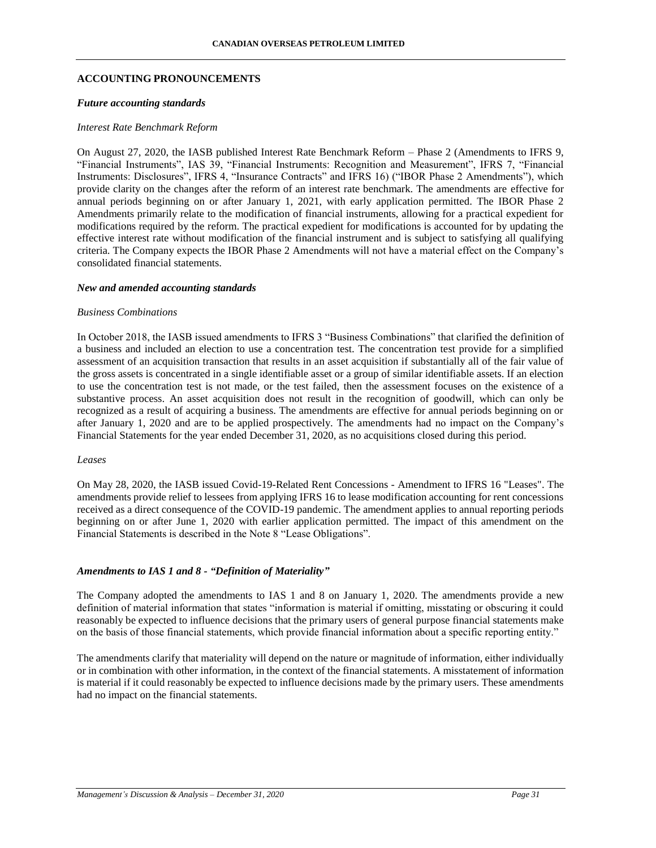### **ACCOUNTING PRONOUNCEMENTS**

#### *Future accounting standards*

### *Interest Rate Benchmark Reform*

On August 27, 2020, the IASB published Interest Rate Benchmark Reform – Phase 2 (Amendments to IFRS 9, "Financial Instruments", IAS 39, "Financial Instruments: Recognition and Measurement", IFRS 7, "Financial Instruments: Disclosures", IFRS 4, "Insurance Contracts" and IFRS 16) ("IBOR Phase 2 Amendments"), which provide clarity on the changes after the reform of an interest rate benchmark. The amendments are effective for annual periods beginning on or after January 1, 2021, with early application permitted. The IBOR Phase 2 Amendments primarily relate to the modification of financial instruments, allowing for a practical expedient for modifications required by the reform. The practical expedient for modifications is accounted for by updating the effective interest rate without modification of the financial instrument and is subject to satisfying all qualifying criteria. The Company expects the IBOR Phase 2 Amendments will not have a material effect on the Company's consolidated financial statements.

### *New and amended accounting standards*

#### *Business Combinations*

In October 2018, the IASB issued amendments to IFRS 3 "Business Combinations" that clarified the definition of a business and included an election to use a concentration test. The concentration test provide for a simplified assessment of an acquisition transaction that results in an asset acquisition if substantially all of the fair value of the gross assets is concentrated in a single identifiable asset or a group of similar identifiable assets. If an election to use the concentration test is not made, or the test failed, then the assessment focuses on the existence of a substantive process. An asset acquisition does not result in the recognition of goodwill, which can only be recognized as a result of acquiring a business. The amendments are effective for annual periods beginning on or after January 1, 2020 and are to be applied prospectively. The amendments had no impact on the Company's Financial Statements for the year ended December 31, 2020, as no acquisitions closed during this period.

#### *Leases*

On May 28, 2020, the IASB issued Covid-19-Related Rent Concessions - Amendment to IFRS 16 "Leases". The amendments provide relief to lessees from applying IFRS 16 to lease modification accounting for rent concessions received as a direct consequence of the COVID-19 pandemic. The amendment applies to annual reporting periods beginning on or after June 1, 2020 with earlier application permitted. The impact of this amendment on the Financial Statements is described in the Note 8 "Lease Obligations".

### *Amendments to IAS 1 and 8 - "Definition of Materiality"*

The Company adopted the amendments to IAS 1 and 8 on January 1, 2020. The amendments provide a new definition of material information that states "information is material if omitting, misstating or obscuring it could reasonably be expected to influence decisions that the primary users of general purpose financial statements make on the basis of those financial statements, which provide financial information about a specific reporting entity."

The amendments clarify that materiality will depend on the nature or magnitude of information, either individually or in combination with other information, in the context of the financial statements. A misstatement of information is material if it could reasonably be expected to influence decisions made by the primary users. These amendments had no impact on the financial statements.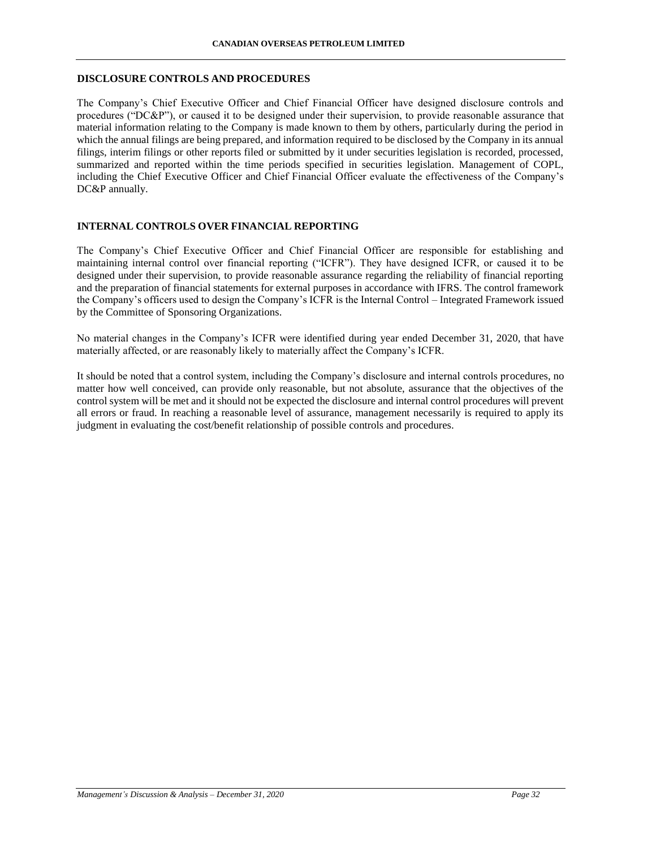### **DISCLOSURE CONTROLS AND PROCEDURES**

The Company's Chief Executive Officer and Chief Financial Officer have designed disclosure controls and procedures ("DC&P"), or caused it to be designed under their supervision, to provide reasonable assurance that material information relating to the Company is made known to them by others, particularly during the period in which the annual filings are being prepared, and information required to be disclosed by the Company in its annual filings, interim filings or other reports filed or submitted by it under securities legislation is recorded, processed, summarized and reported within the time periods specified in securities legislation. Management of COPL, including the Chief Executive Officer and Chief Financial Officer evaluate the effectiveness of the Company's DC&P annually.

### **INTERNAL CONTROLS OVER FINANCIAL REPORTING**

The Company's Chief Executive Officer and Chief Financial Officer are responsible for establishing and maintaining internal control over financial reporting ("ICFR"). They have designed ICFR, or caused it to be designed under their supervision, to provide reasonable assurance regarding the reliability of financial reporting and the preparation of financial statements for external purposes in accordance with IFRS. The control framework the Company's officers used to design the Company's ICFR is the Internal Control – Integrated Framework issued by the Committee of Sponsoring Organizations.

No material changes in the Company's ICFR were identified during year ended December 31, 2020, that have materially affected, or are reasonably likely to materially affect the Company's ICFR.

It should be noted that a control system, including the Company's disclosure and internal controls procedures, no matter how well conceived, can provide only reasonable, but not absolute, assurance that the objectives of the control system will be met and it should not be expected the disclosure and internal control procedures will prevent all errors or fraud. In reaching a reasonable level of assurance, management necessarily is required to apply its judgment in evaluating the cost/benefit relationship of possible controls and procedures.